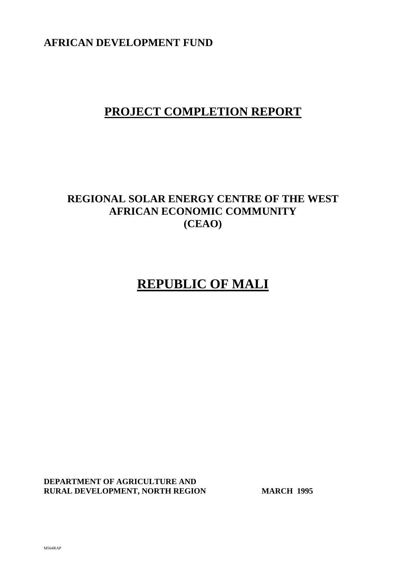**AFRICAN DEVELOPMENT FUND**

# **PROJECT COMPLETION REPORT**

# **REGIONAL SOLAR ENERGY CENTRE OF THE WEST AFRICAN ECONOMIC COMMUNITY (CEAO)**

# **REPUBLIC OF MALI**

**DEPARTMENT OF AGRICULTURE AND RURAL DEVELOPMENT, NORTH REGION MARCH 1995**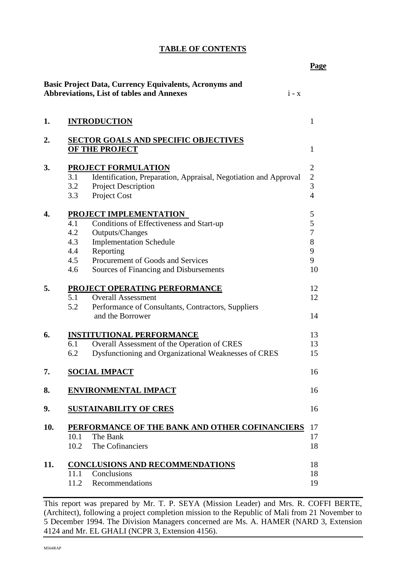|     |                                                                                                                                                                                                                                                               | <b>Page</b>                                                          |
|-----|---------------------------------------------------------------------------------------------------------------------------------------------------------------------------------------------------------------------------------------------------------------|----------------------------------------------------------------------|
|     | <b>Basic Project Data, Currency Equivalents, Acronyms and</b><br><b>Abbreviations, List of tables and Annexes</b><br>$i - x$                                                                                                                                  |                                                                      |
| 1.  | <b>INTRODUCTION</b>                                                                                                                                                                                                                                           | $\mathbf{1}$                                                         |
| 2.  | <b>SECTOR GOALS AND SPECIFIC OBJECTIVES</b><br>OF THE PROJECT                                                                                                                                                                                                 | $\mathbf{1}$                                                         |
| 3.  | <b>PROJECT FORMULATION</b><br>3.1<br>Identification, Preparation, Appraisal, Negotiation and Approval<br><b>Project Description</b><br>3.2<br>Project Cost<br>3.3                                                                                             | $\overline{2}$<br>$\overline{c}$<br>$\overline{3}$<br>$\overline{4}$ |
| 4.  | PROJECT IMPLEMENTATION<br>4.1<br>Conditions of Effectiveness and Start-up<br>4.2<br>Outputs/Changes<br><b>Implementation Schedule</b><br>4.3<br>4.4<br>Reporting<br>Procurement of Goods and Services<br>4.5<br>4.6<br>Sources of Financing and Disbursements | 5<br>5<br>7<br>$8\,$<br>9<br>9<br>10                                 |
| 5.  | PROJECT OPERATING PERFORMANCE<br>5.1<br><b>Overall Assessment</b><br>5.2<br>Performance of Consultants, Contractors, Suppliers<br>and the Borrower                                                                                                            | 12<br>12<br>14                                                       |
| 6.  | <b>INSTITUTIONAL PERFORMANCE</b><br>Overall Assessment of the Operation of CRES<br>6.1<br>Dysfunctioning and Organizational Weaknesses of CRES<br>6.2                                                                                                         | 13<br>13<br>15                                                       |
| 7.  | <b>SOCIAL IMPACT</b>                                                                                                                                                                                                                                          | 16                                                                   |
| 8.  | <b>ENVIRONMENTAL IMPACT</b>                                                                                                                                                                                                                                   | 16                                                                   |
| 9.  | <b>SUSTAINABILITY OF CRES</b>                                                                                                                                                                                                                                 | 16                                                                   |
| 10. | PERFORMANCE OF THE BANK AND OTHER COFINANCIERS<br>10.1<br>The Bank<br>10.2<br>The Cofinanciers                                                                                                                                                                | 17<br>17<br>18                                                       |
| 11. | <b>CONCLUSIONS AND RECOMMENDATIONS</b><br>Conclusions<br>11.1<br>Recommendations<br>11.2                                                                                                                                                                      | 18<br>18<br>19                                                       |

This report was prepared by Mr. T. P. SEYA (Mission Leader) and Mrs. R. COFFI BERTE, (Architect), following a project completion mission to the Republic of Mali from 21 November to 5 December 1994. The Division Managers concerned are Ms. A. HAMER (NARD 3, Extension 4124 and Mr. EL GHALI (NCPR 3, Extension 4156).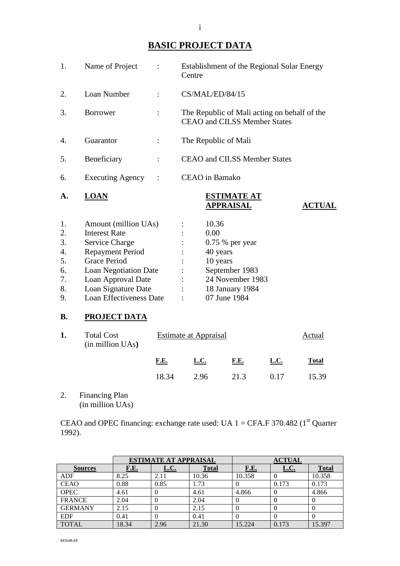# **BASIC PROJECT DATA**

| 1.               | Name of Project<br>$\ddot{\cdot}$ | Establishment of the Regional Solar Energy<br>Centre                                       |  |  |
|------------------|-----------------------------------|--------------------------------------------------------------------------------------------|--|--|
| 2.               | Loan Number                       | CS/MAL/ED/84/15                                                                            |  |  |
| 3.               | <b>Borrower</b>                   | The Republic of Mali acting on behalf of the<br><b>CEAO</b> and <b>CILSS</b> Member States |  |  |
| 4.               | Guarantor<br>$\ddot{\cdot}$       | The Republic of Mali                                                                       |  |  |
| 5.               | Beneficiary<br>÷                  | <b>CEAO and CILSS Member States</b>                                                        |  |  |
| 6.               | <b>Executing Agency</b>           | <b>CEAO</b> in Bamako                                                                      |  |  |
| A.               | <b>LOAN</b>                       | <b>ESTIMATE AT</b><br><b>APPRAISAL</b><br><b>ACTUAL</b>                                    |  |  |
| 1.               | Amount (million UAs)              | 10.36                                                                                      |  |  |
| 2.               | <b>Interest Rate</b>              | 0.00                                                                                       |  |  |
| 3.               | Service Charge                    | $0.75%$ per year                                                                           |  |  |
| $\overline{4}$ . | <b>Repayment Period</b>           | 40 years                                                                                   |  |  |
| 5.               | <b>Grace Period</b>               | 10 years                                                                                   |  |  |
| 6.               | <b>Loan Negotiation Date</b>      | September 1983                                                                             |  |  |
| 7.               | Loan Approval Date                | 24 November 1983                                                                           |  |  |
| 8.               | Loan Signature Date               | 18 January 1984                                                                            |  |  |
| 9.               | Loan Effectiveness Date           | 07 June 1984                                                                               |  |  |
|                  |                                   |                                                                                            |  |  |

# **B. PROJECT DATA**

| 1. | <b>Total Cost</b><br>(in million UAs) | <b>Estimate at Appraisal</b> |      |      |             | Actual       |
|----|---------------------------------------|------------------------------|------|------|-------------|--------------|
|    |                                       | <u>F.E.</u>                  | L.C. | F.E. | <u>L.C.</u> | <b>Total</b> |
|    |                                       | 18.34                        | 2.96 | 21.3 | 0.17        | 15.39        |

2. Financing Plan (in million UAs)

CEAO and OPEC financing: exchange rate used: UA  $1 = CFA.F$  370.482 ( $1<sup>st</sup>$  Quarter 1992).

|                | <b>ESTIMATE AT APPRAISAL</b> |      |              | <b>ACTUAL</b> |       |              |
|----------------|------------------------------|------|--------------|---------------|-------|--------------|
| <b>Sources</b> | F.E.                         | L.C. | <b>Total</b> | F.E.          | L.C.  | <b>Total</b> |
| <b>ADF</b>     | 8.25                         | 2.11 | 10.36        | 10.358        |       | 10.358       |
| <b>CEAO</b>    | 0.88                         | 0.85 | 1.73         |               | 0.173 | 0.173        |
| <b>OPEC</b>    | 4.61                         |      | 4.61         | 4.866         |       | 4.866        |
| <b>FRANCE</b>  | 2.04                         |      | 2.04         |               |       |              |
| <b>GERMANY</b> | 2.15                         |      | 2.15         |               |       |              |
| <b>EDF</b>     | 0.41                         | U    | 0.41         |               |       |              |
| <b>TOTAL</b>   | 18.34                        | 2.96 | 21.30        | 15.224        | 0.173 | 15.397       |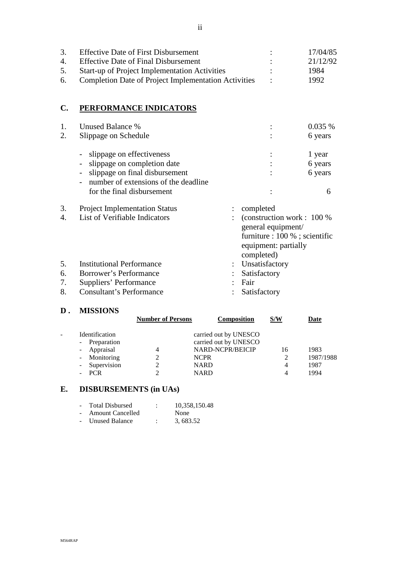| 3. | <b>Effective Date of First Disbursement</b>             | 17/04/85 |
|----|---------------------------------------------------------|----------|
| 4. | <b>Effective Date of Final Disbursement</b>             | 21/12/92 |
| 5. | <b>Start-up of Project Implementation Activities</b>    | 1984     |
|    | 6. Completion Date of Project Implementation Activities | 1992     |

# **C. PERFORMANCE INDICATORS**

| 1.<br>2.             | Unused Balance %<br>Slippage on Schedule                                                                                                                                                                                                                 |                                                                                                                                        | 0.035%<br>6 years                 |
|----------------------|----------------------------------------------------------------------------------------------------------------------------------------------------------------------------------------------------------------------------------------------------------|----------------------------------------------------------------------------------------------------------------------------------------|-----------------------------------|
|                      | slippage on effectiveness<br>$\qquad \qquad \blacksquare$<br>slippage on completion date<br>$\overline{\phantom{a}}$<br>slippage on final disbursement<br>$\overline{\phantom{a}}$<br>number of extensions of the deadline<br>for the final disbursement |                                                                                                                                        | 1 year<br>6 years<br>6 years<br>6 |
| 3.<br>4.             | <b>Project Implementation Status</b><br>List of Verifiable Indicators                                                                                                                                                                                    | completed<br>(construction work : 100 %)<br>general equipment/<br>furniture : 100 % ; scientific<br>equipment: partially<br>completed) |                                   |
| 5.<br>6.<br>7.<br>8. | <b>Institutional Performance</b><br>Borrower's Performance<br>Suppliers' Performance<br><b>Consultant's Performance</b>                                                                                                                                  | : Unsatisfactory<br>Satisfactory<br>Fair<br>Satisfactory                                                                               |                                   |

#### **D . MISSIONS**

|                           | <b>Number of Persons</b> | <b>Composition</b>    | S/W | Date      |
|---------------------------|--------------------------|-----------------------|-----|-----------|
| Identification            |                          | carried out by UNESCO |     |           |
| Preparation<br>$\sim$ $-$ |                          | carried out by UNESCO |     |           |
| - Appraisal               | 4                        | NARD-NCPR/BEICIP      | 16  | 1983      |
| - Monitoring              |                          | <b>NCPR</b>           |     | 1987/1988 |
| Supervision<br>$\sim$     |                          | <b>NARD</b>           | 4   | 1987      |
| <b>PCR</b>                |                          | <b>NARD</b>           | Δ   | 1994      |
|                           |                          |                       |     |           |

# **E. DISBURSEMENTS (in UAs)**

| $\sim$ | <b>Total Disbursed</b>  | 10,358,150.48 |
|--------|-------------------------|---------------|
|        | <b>Amount Cancelled</b> | None          |
|        | <b>Unused Balance</b>   | 3, 683.52     |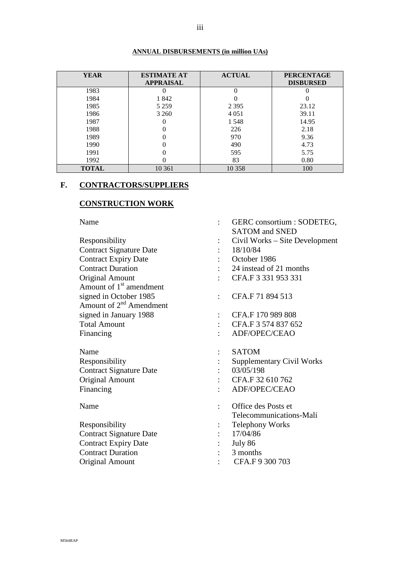#### **ANNUAL DISBURSEMENTS (in million UAs)**

| <b>YEAR</b>  | <b>ESTIMATE AT</b> | <b>ACTUAL</b> | <b>PERCENTAGE</b> |
|--------------|--------------------|---------------|-------------------|
|              | <b>APPRAISAL</b>   |               | <b>DISBURSED</b>  |
| 1983         |                    |               |                   |
| 1984         | 1842               |               |                   |
| 1985         | 5 2 5 9            | 2 3 9 5       | 23.12             |
| 1986         | 3 2 6 0            | 4 0 5 1       | 39.11             |
| 1987         |                    | 1 5 4 8       | 14.95             |
| 1988         |                    | 226           | 2.18              |
| 1989         |                    | 970           | 9.36              |
| 1990         |                    | 490           | 4.73              |
| 1991         |                    | 595           | 5.75              |
| 1992         |                    | 83            | 0.80              |
| <b>TOTAL</b> | 10 361             | 10 358        | 100               |

# **F. CONTRACTORS/SUPPLIERS**

# **CONSTRUCTION WORK**

Name : GERC consortium : SODETEG,

|                                     |                      | <b>SATOM</b> and <b>SNED</b>     |
|-------------------------------------|----------------------|----------------------------------|
| Responsibility                      |                      | Civil Works – Site Development   |
| <b>Contract Signature Date</b>      |                      | 18/10/84                         |
| <b>Contract Expiry Date</b>         |                      | October 1986                     |
| <b>Contract Duration</b>            |                      | 24 instead of 21 months          |
| <b>Original Amount</b>              |                      | CFA.F 3 331 953 331              |
| Amount of 1 <sup>st</sup> amendment |                      |                                  |
| signed in October 1985              | $\ddot{\cdot}$       | CFA.F 71 894 513                 |
| Amount of $2^{nd}$ Amendment        |                      |                                  |
| signed in January 1988              | $\ddot{\phantom{a}}$ | CFA.F 170 989 808                |
| <b>Total Amount</b>                 |                      | CFA.F 3 574 837 652              |
| Financing                           |                      | ADF/OPEC/CEAO                    |
| Name                                |                      | <b>SATOM</b>                     |
| Responsibility                      |                      | <b>Supplementary Civil Works</b> |
| <b>Contract Signature Date</b>      |                      | 03/05/198                        |
| <b>Original Amount</b>              |                      | CFA.F 32 610 762                 |
| Financing                           |                      | ADF/OPEC/CEAO                    |
| Name                                |                      | Office des Posts et              |
|                                     |                      | Telecommunications-Mali          |
| Responsibility                      |                      | <b>Telephony Works</b>           |
| <b>Contract Signature Date</b>      |                      | 17/04/86                         |
| <b>Contract Expiry Date</b>         |                      | July 86                          |
| <b>Contract Duration</b>            |                      | 3 months                         |
| <b>Original Amount</b>              |                      | CFA.F 9 300 703                  |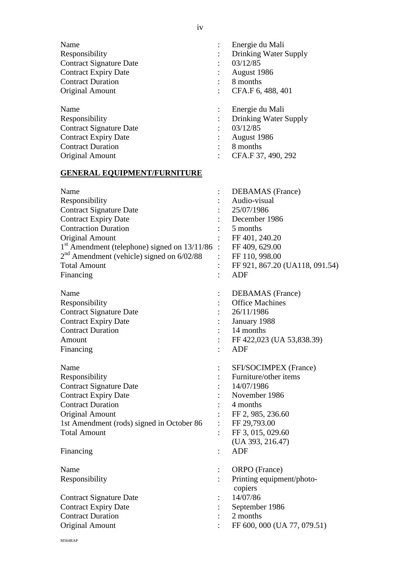| Name<br>Responsibility<br><b>Contract Signature Date</b><br><b>Contract Expiry Date</b><br><b>Contract Duration</b><br>Original Amount                                                                                                                                                  |                           | Energie du Mali<br>Drinking Water Supply<br>03/12/85<br>August 1986<br>8 months<br>CFA.F 6, 488, 401                                                                                     |
|-----------------------------------------------------------------------------------------------------------------------------------------------------------------------------------------------------------------------------------------------------------------------------------------|---------------------------|------------------------------------------------------------------------------------------------------------------------------------------------------------------------------------------|
| Name<br>Responsibility<br><b>Contract Signature Date</b><br><b>Contract Expiry Date</b><br><b>Contract Duration</b><br><b>Original Amount</b>                                                                                                                                           | $\ddot{\cdot}$            | Energie du Mali<br>Drinking Water Supply<br>03/12/85<br>August 1986<br>8 months<br>CFA.F 37, 490, 292                                                                                    |
| <b>GENERAL EQUIPMENT/FURNITURE</b>                                                                                                                                                                                                                                                      |                           |                                                                                                                                                                                          |
| Name<br>Responsibility<br><b>Contract Signature Date</b><br><b>Contract Expiry Date</b><br><b>Contraction Duration</b><br><b>Original Amount</b><br>$1st$ Amendment (telephone) signed on $13/11/86$<br>$2nd$ Amendment (vehicle) signed on 6/02/88<br><b>Total Amount</b><br>Financing | $\mathbb{R}^{\mathbb{Z}}$ | <b>DEBAMAS</b> (France)<br>Audio-visual<br>25/07/1986<br>December 1986<br>5 months<br>FF 401, 240.20<br>FF 409, 629.00<br>FF 110, 998.00<br>FF 921, 867.20 (UA118, 091.54)<br><b>ADF</b> |
| Name<br>Responsibility<br><b>Contract Signature Date</b><br><b>Contract Expiry Date</b><br><b>Contract Duration</b><br>Amount<br>Financing                                                                                                                                              |                           | <b>DEBAMAS</b> (France)<br><b>Office Machines</b><br>26/11/1986<br>January 1988<br>14 months<br>FF 422,023 (UA 53,838.39)<br><b>ADF</b>                                                  |
| Name<br>Responsibility<br><b>Contract Signature Date</b><br><b>Contract Expiry Date</b><br><b>Contract Duration</b><br><b>Original Amount</b><br>1st Amendment (rods) signed in October 86<br><b>Total Amount</b><br>Financing                                                          |                           | SFI/SOCIMPEX (France)<br>Furniture/other items<br>14/07/1986<br>November 1986<br>4 months<br>FF 2, 985, 236.60<br>FF 29,793.00<br>FF 3, 015, 029.60<br>(UA 393, 216.47)<br><b>ADF</b>    |
|                                                                                                                                                                                                                                                                                         |                           |                                                                                                                                                                                          |
| Name<br>Responsibility                                                                                                                                                                                                                                                                  |                           | ORPO (France)<br>Printing equipment/photo-<br>copiers                                                                                                                                    |
| <b>Contract Signature Date</b><br><b>Contract Expiry Date</b><br><b>Contract Duration</b><br><b>Original Amount</b>                                                                                                                                                                     |                           | 14/07/86<br>September 1986<br>2 months<br>FF 600, 000 (UA 77, 079.51)                                                                                                                    |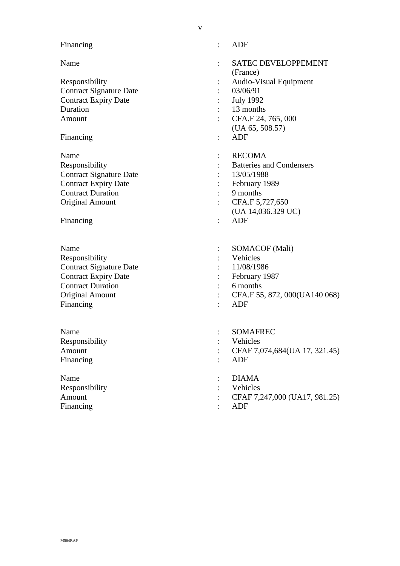#### Financing : ADF

Contract Signature Date : 03/06/91 Contract Expiry Date : July 1992 Duration : 13 months

Financing : ADF

Name : RECOMA Contract Signature Date : 13/05/1988 Contract Expiry Date : February 1989 Contract Duration : 9 months Original Amount : CFA.F 5,727,650

Financing : ADF

- Responsibility : Vehicles Contract Signature Date : 11/08/1986 Contract Expiry Date : February 1987 Contract Duration : 6 months Financing : ADF
- Responsibility : Vehicles Financing : ADF

Name : DIAMA : DIAMA Responsibility : Vehicles Financing : ADF

- 
- Name : SATEC DEVELOPPEMENT (France)
- Responsibility : Audio-Visual Equipment
	-
	-
	-
- Amount : CFA.F 24, 765, 000 (UA 65, 508.57)
	-
	-
- Responsibility : Batteries and Condensers
	-
	-
	-
	-
	- (UA 14,036.329 UC)
	-
- Name : SOMACOF (Mali)
	-
	-
	-
	-
- Original Amount : CFA.F 55, 872, 000(UA140 068)
	-
- Name : SOMAFREC
	-
- Amount : CFAF 7,074,684(UA 17, 321.45)
	-
	-
	-
- Amount : CFAF 7,247,000 (UA17, 981.25)
	-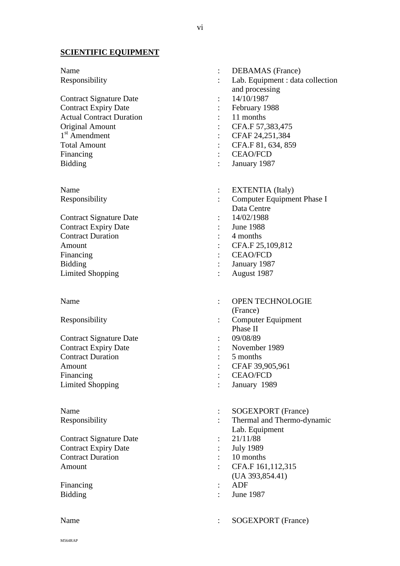# **SCIENTIFIC EQUIPMENT**

| Name                            |                | <b>DEBAMAS</b> (France)          |
|---------------------------------|----------------|----------------------------------|
| Responsibility                  |                | Lab. Equipment : data collection |
|                                 |                | and processing                   |
| <b>Contract Signature Date</b>  |                | 14/10/1987                       |
| <b>Contract Expiry Date</b>     |                | February 1988                    |
| <b>Actual Contract Duration</b> |                | 11 months                        |
| <b>Original Amount</b>          |                | CFA.F 57,383,475                 |
| 1 <sup>st</sup> Amendment       |                | CFAF 24,251,384                  |
| <b>Total Amount</b>             |                | CFA.F 81, 634, 859               |
| Financing                       |                | <b>CEAO/FCD</b>                  |
| <b>Bidding</b>                  |                | January 1987                     |
| Name                            | $\ddot{\cdot}$ | <b>EXTENTIA</b> (Italy)          |
| Responsibility                  |                | Computer Equipment Phase I       |
|                                 |                | Data Centre                      |
| <b>Contract Signature Date</b>  |                | 14/02/1988                       |
| <b>Contract Expiry Date</b>     |                | <b>June 1988</b>                 |
| <b>Contract Duration</b>        |                | 4 months                         |
| Amount                          |                | CFA.F 25, 109, 812               |
| Financing                       |                | <b>CEAO/FCD</b>                  |
| <b>Bidding</b>                  |                | January 1987                     |
| <b>Limited Shopping</b>         |                | August 1987                      |
| Name                            |                | <b>OPEN TECHNOLOGIE</b>          |
|                                 |                | (France)                         |
| Responsibility                  |                | Computer Equipment               |
|                                 |                | Phase II                         |
| <b>Contract Signature Date</b>  |                | 09/08/89                         |
| <b>Contract Expiry Date</b>     |                | November 1989                    |
| <b>Contract Duration</b>        |                | 5 months                         |
| Amount                          |                | CFAF 39,905,961                  |
| Financing                       | $\ddot{\cdot}$ | <b>CEAO/FCD</b>                  |
| <b>Limited Shopping</b>         |                | January 1989                     |
| Name                            |                | SOGEXPORT (France)               |
| Responsibility                  |                | Thermal and Thermo-dynamic       |
|                                 |                | Lab. Equipment                   |
| <b>Contract Signature Date</b>  |                | 21/11/88                         |
| <b>Contract Expiry Date</b>     |                | <b>July 1989</b>                 |
| <b>Contract Duration</b>        |                | 10 months                        |
| Amount                          |                | CFA.F 161,112,315                |
|                                 |                | $(UA\ 393, 854.41)$              |
| Financing                       |                | <b>ADF</b>                       |
| <b>Bidding</b>                  |                | <b>June 1987</b>                 |
| Name                            | $\ddot{\cdot}$ | <b>SOGEXPORT</b> (France)        |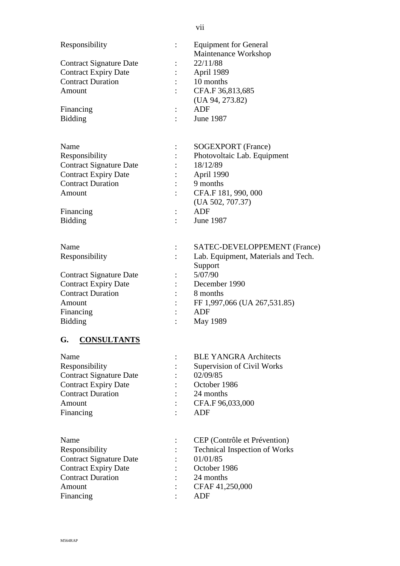| Responsibility                 | <b>Equipment for General</b>         |
|--------------------------------|--------------------------------------|
|                                | Maintenance Workshop                 |
| <b>Contract Signature Date</b> | 22/11/88                             |
| <b>Contract Expiry Date</b>    | April 1989                           |
| <b>Contract Duration</b>       | 10 months                            |
| Amount                         | CFA.F 36,813,685                     |
|                                | (UA 94, 273.82)                      |
| Financing                      | ADF                                  |
| <b>Bidding</b>                 | June 1987                            |
| Name                           | SOGEXPORT (France)                   |
|                                |                                      |
| Responsibility                 | Photovoltaic Lab. Equipment          |
| <b>Contract Signature Date</b> | 18/12/89                             |
| <b>Contract Expiry Date</b>    | April 1990                           |
| <b>Contract Duration</b>       | 9 months                             |
| Amount                         | CFA.F 181, 990, 000                  |
|                                | (UA 502, 707.37)                     |
| Financing                      | ADF                                  |
| <b>Bidding</b>                 | June 1987                            |
| Name                           | SATEC-DEVELOPPEMENT (France)         |
| Responsibility                 | Lab. Equipment, Materials and Tech.  |
|                                | Support                              |
| <b>Contract Signature Date</b> | 5/07/90                              |
| <b>Contract Expiry Date</b>    | December 1990                        |
| <b>Contract Duration</b>       | 8 months                             |
| Amount                         | FF 1,997,066 (UA 267,531.85)         |
| Financing                      | <b>ADF</b>                           |
| <b>Bidding</b>                 | May 1989                             |
| <b>CONSULTANTS</b><br>G.       |                                      |
| Name                           | <b>BLE YANGRA Architects</b>         |
| Responsibility                 | Supervision of Civil Works           |
| <b>Contract Signature Date</b> | 02/09/85                             |
| <b>Contract Expiry Date</b>    | October 1986                         |
| <b>Contract Duration</b>       | 24 months                            |
| Amount                         | CFA.F 96,033,000                     |
|                                | <b>ADF</b>                           |
| Financing                      |                                      |
| Name                           | CEP (Contrôle et Prévention)         |
| Responsibility                 | <b>Technical Inspection of Works</b> |
| <b>Contract Signature Date</b> | 01/01/85                             |
| <b>Contract Expiry Date</b>    | October 1986                         |
| <b>Contract Duration</b>       | 24 months                            |
| Amount                         | CFAF 41,250,000                      |
| Financing                      | <b>ADF</b>                           |
|                                |                                      |

#### vii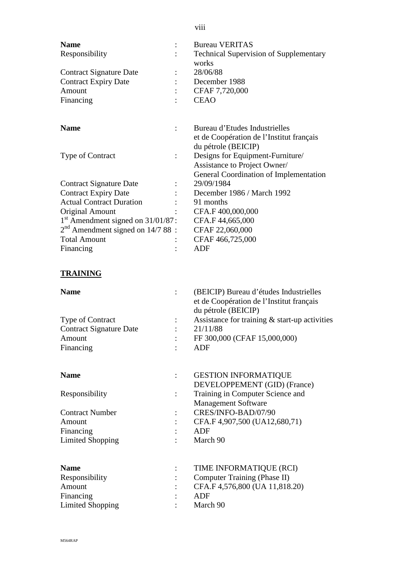| <b>Name</b><br>Responsibility                 | <b>Bureau VERITAS</b><br><b>Technical Supervision of Supplementary</b><br>works                           |
|-----------------------------------------------|-----------------------------------------------------------------------------------------------------------|
| <b>Contract Signature Date</b>                | 28/06/88                                                                                                  |
| <b>Contract Expiry Date</b>                   | December 1988                                                                                             |
| Amount                                        | CFAF 7,720,000                                                                                            |
| Financing                                     | <b>CEAO</b>                                                                                               |
| <b>Name</b>                                   | Bureau d'Etudes Industrielles<br>et de Coopération de l'Institut français                                 |
|                                               | du pétrole (BEICIP)                                                                                       |
| <b>Type of Contract</b>                       | Designs for Equipment-Furniture/                                                                          |
|                                               | Assistance to Project Owner/                                                                              |
|                                               | General Coordination of Implementation                                                                    |
| <b>Contract Signature Date</b>                | 29/09/1984                                                                                                |
| <b>Contract Expiry Date</b>                   | December 1986 / March 1992                                                                                |
| <b>Actual Contract Duration</b>               | 91 months                                                                                                 |
| <b>Original Amount</b>                        | CFA.F 400,000,000                                                                                         |
| 1 <sup>st</sup> Amendment signed on 31/01/87: | CFA.F 44,665,000                                                                                          |
| $2nd$ Amendment signed on 14/7 88 :           | CFAF 22,060,000                                                                                           |
| <b>Total Amount</b>                           | CFAF 466,725,000                                                                                          |
| Financing                                     | <b>ADF</b>                                                                                                |
| <b>TRAINING</b>                               |                                                                                                           |
| <b>Name</b>                                   | (BEICIP) Bureau d'études Industrielles<br>et de Coopération de l'Institut français<br>du pétrole (BEICIP) |
| <b>Type of Contract</b>                       | Assistance for training $&$ start-up activities                                                           |
| <b>Contract Signature Date</b>                | 21/11/88                                                                                                  |
| Amount                                        | FF 300,000 (CFAF 15,000,000)                                                                              |
| Financing                                     | ADF                                                                                                       |
| <b>Name</b>                                   | <b>GESTION INFORMATIQUE</b>                                                                               |
|                                               | DEVELOPPEMENT (GID) (France)                                                                              |
| Responsibility                                | Training in Computer Science and<br><b>Management Software</b>                                            |

Contract Number : CRES/INFO-BAD/07/90 Amount : CFA.F 4,907,500 (UA12,680,71)<br>Financing : ADF Financing : Limited Shopping : March 90

| <b>Name</b>      |                      | TIME INFORMATIQUE (RCI)        |
|------------------|----------------------|--------------------------------|
| Responsibility   |                      | Computer Training (Phase II)   |
| Amount           |                      | CFA.F 4,576,800 (UA 11,818.20) |
| Financing        |                      | ADF                            |
| Limited Shopping | $\ddot{\phantom{0}}$ | March 90                       |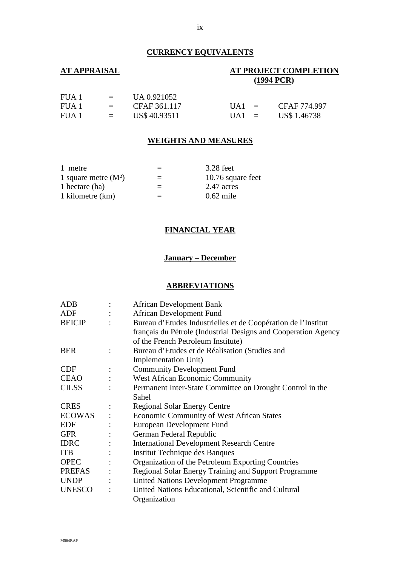# **CURRENCY EQUIVALENTS**

# **AT APPRAISAL AT PROJECT COMPLETION (1994 PCR)**

| FUA 1 | $\equiv$ $\equiv$    | UA 0.921052   |                  |              |
|-------|----------------------|---------------|------------------|--------------|
| FUA 1 | and the state of the | CFAF 361.117  | $IJA1 =$         | CFAF 774.997 |
| FUA 1 | and the state        | US\$ 40.93511 | $\mathbf{UA1} =$ | US\$ 1.46738 |

#### **WEIGHTS AND MEASURES**

| 1 metre                | $=$ | 3.28 feet         |
|------------------------|-----|-------------------|
| 1 square metre $(M^2)$ | $=$ | 10.76 square feet |
| 1 hectare (ha)         | $=$ | 2.47 acres        |
| 1 kilometre (km)       | $=$ | $0.62$ mile       |

#### **FINANCIAL YEAR**

# **January – December**

#### **ABBREVIATIONS**

| <b>ADB</b>    |                | <b>African Development Bank</b>                                |
|---------------|----------------|----------------------------------------------------------------|
| ADF           |                | <b>African Development Fund</b>                                |
| <b>BEICIP</b> |                | Bureau d'Etudes Industrielles et de Coopération de l'Institut  |
|               |                | français du Pétrole (Industrial Designs and Cooperation Agency |
|               |                | of the French Petroleum Institute)                             |
| <b>BER</b>    | $\ddot{\cdot}$ | Bureau d'Etudes et de Réalisation (Studies and                 |
|               |                | Implementation Unit)                                           |
| <b>CDF</b>    |                | <b>Community Development Fund</b>                              |
| <b>CEAO</b>   | $\ddot{\cdot}$ | <b>West African Economic Community</b>                         |
| <b>CILSS</b>  |                | Permanent Inter-State Committee on Drought Control in the      |
|               |                | Sahel                                                          |
| <b>CRES</b>   |                | <b>Regional Solar Energy Centre</b>                            |
| <b>ECOWAS</b> |                | <b>Economic Community of West African States</b>               |
| <b>EDF</b>    |                | European Development Fund                                      |
| <b>GFR</b>    |                | German Federal Republic                                        |
| <b>IDRC</b>   |                | <b>International Development Research Centre</b>               |
| <b>ITB</b>    |                | <b>Institut Technique des Banques</b>                          |
| <b>OPEC</b>   |                | Organization of the Petroleum Exporting Countries              |
| PREFAS        | $\ddot{\cdot}$ | <b>Regional Solar Energy Training and Support Programme</b>    |
| <b>UNDP</b>   |                | <b>United Nations Development Programme</b>                    |
| <b>UNESCO</b> |                | United Nations Educational, Scientific and Cultural            |
|               |                | Organization                                                   |
|               |                |                                                                |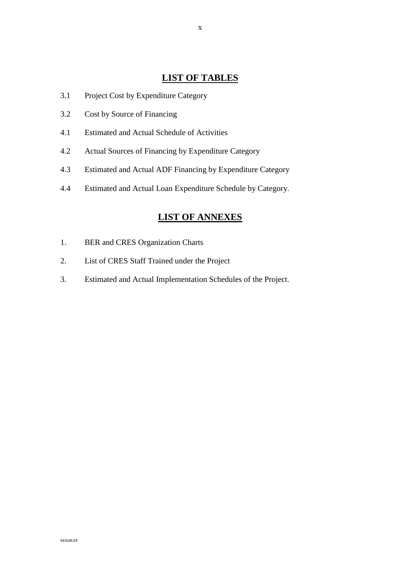# **LIST OF TABLES**

- 3.1 Project Cost by Expenditure Category
- 3.2 Cost by Source of Financing
- 4.1 Estimated and Actual Schedule of Activities
- 4.2 Actual Sources of Financing by Expenditure Category
- 4.3 Estimated and Actual ADF Financing by Expenditure Category
- 4.4 Estimated and Actual Loan Expenditure Schedule by Category.

# **LIST OF ANNEXES**

- 1. BER and CRES Organization Charts
- 2. List of CRES Staff Trained under the Project
- 3. Estimated and Actual Implementation Schedules of the Project.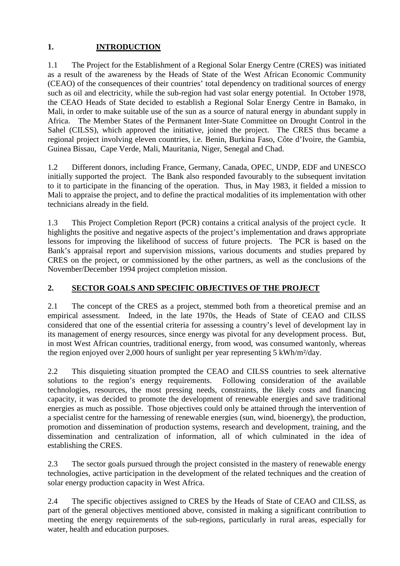# **1. INTRODUCTION**

1.1 The Project for the Establishment of a Regional Solar Energy Centre (CRES) was initiated as a result of the awareness by the Heads of State of the West African Economic Community (CEAO) of the consequences of their countries' total dependency on traditional sources of energy such as oil and electricity, while the sub-region had vast solar energy potential. In October 1978, the CEAO Heads of State decided to establish a Regional Solar Energy Centre in Bamako, in Mali, in order to make suitable use of the sun as a source of natural energy in abundant supply in Africa. The Member States of the Permanent Inter-State Committee on Drought Control in the Sahel (CILSS), which approved the initiative, joined the project. The CRES thus became a regional project involving eleven countries, i.e. Benin, Burkina Faso, Côte d'Ivoire, the Gambia, Guinea Bissau, Cape Verde, Mali, Mauritania, Niger, Senegal and Chad.

1.2 Different donors, including France, Germany, Canada, OPEC, UNDP, EDF and UNESCO initially supported the project. The Bank also responded favourably to the subsequent invitation to it to participate in the financing of the operation. Thus, in May 1983, it fielded a mission to Mali to appraise the project, and to define the practical modalities of its implementation with other technicians already in the field.

1.3 This Project Completion Report (PCR) contains a critical analysis of the project cycle. It highlights the positive and negative aspects of the project's implementation and draws appropriate lessons for improving the likelihood of success of future projects. The PCR is based on the Bank's appraisal report and supervision missions, various documents and studies prepared by CRES on the project, or commissioned by the other partners, as well as the conclusions of the November/December 1994 project completion mission.

# **2. SECTOR GOALS AND SPECIFIC OBJECTIVES OF THE PROJECT**

2.1 The concept of the CRES as a project, stemmed both from a theoretical premise and an empirical assessment. Indeed, in the late 1970s, the Heads of State of CEAO and CILSS considered that one of the essential criteria for assessing a country's level of development lay in its management of energy resources, since energy was pivotal for any development process. But, in most West African countries, traditional energy, from wood, was consumed wantonly, whereas the region enjoyed over 2,000 hours of sunlight per year representing 5 kWh/m²/day.

2.2 This disquieting situation prompted the CEAO and CILSS countries to seek alternative solutions to the region's energy requirements. Following consideration of the available technologies, resources, the most pressing needs, constraints, the likely costs and financing capacity, it was decided to promote the development of renewable energies and save traditional energies as much as possible. Those objectives could only be attained through the intervention of a specialist centre for the harnessing of renewable energies (sun, wind, bioenergy), the production, promotion and dissemination of production systems, research and development, training, and the dissemination and centralization of information, all of which culminated in the idea of establishing the CRES.

2.3 The sector goals pursued through the project consisted in the mastery of renewable energy technologies, active participation in the development of the related techniques and the creation of solar energy production capacity in West Africa.

2.4 The specific objectives assigned to CRES by the Heads of State of CEAO and CILSS, as part of the general objectives mentioned above, consisted in making a significant contribution to meeting the energy requirements of the sub-regions, particularly in rural areas, especially for water, health and education purposes.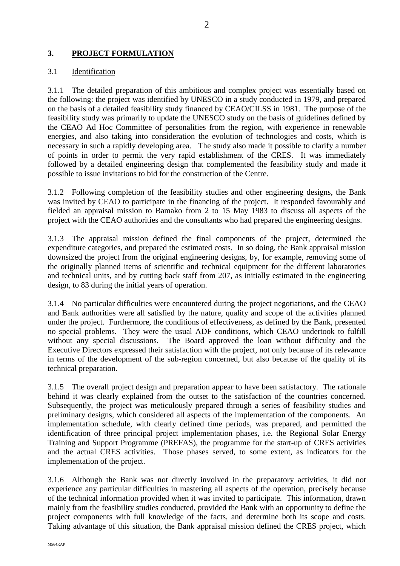# **3. PROJECT FORMULATION**

#### 3.1 Identification

3.1.1 The detailed preparation of this ambitious and complex project was essentially based on the following: the project was identified by UNESCO in a study conducted in 1979, and prepared on the basis of a detailed feasibility study financed by CEAO/CILSS in 1981. The purpose of the feasibility study was primarily to update the UNESCO study on the basis of guidelines defined by the CEAO Ad Hoc Committee of personalities from the region, with experience in renewable energies, and also taking into consideration the evolution of technologies and costs, which is necessary in such a rapidly developing area. The study also made it possible to clarify a number of points in order to permit the very rapid establishment of the CRES. It was immediately followed by a detailed engineering design that complemented the feasibility study and made it possible to issue invitations to bid for the construction of the Centre.

3.1.2 Following completion of the feasibility studies and other engineering designs, the Bank was invited by CEAO to participate in the financing of the project. It responded favourably and fielded an appraisal mission to Bamako from 2 to 15 May 1983 to discuss all aspects of the project with the CEAO authorities and the consultants who had prepared the engineering designs.

3.1.3 The appraisal mission defined the final components of the project, determined the expenditure categories, and prepared the estimated costs. In so doing, the Bank appraisal mission downsized the project from the original engineering designs, by, for example, removing some of the originally planned items of scientific and technical equipment for the different laboratories and technical units, and by cutting back staff from 207, as initially estimated in the engineering design, to 83 during the initial years of operation.

3.1.4 No particular difficulties were encountered during the project negotiations, and the CEAO and Bank authorities were all satisfied by the nature, quality and scope of the activities planned under the project. Furthermore, the conditions of effectiveness, as defined by the Bank, presented no special problems. They were the usual ADF conditions, which CEAO undertook to fulfill without any special discussions. The Board approved the loan without difficulty and the Executive Directors expressed their satisfaction with the project, not only because of its relevance in terms of the development of the sub-region concerned, but also because of the quality of its technical preparation.

3.1.5 The overall project design and preparation appear to have been satisfactory. The rationale behind it was clearly explained from the outset to the satisfaction of the countries concerned. Subsequently, the project was meticulously prepared through a series of feasibility studies and preliminary designs, which considered all aspects of the implementation of the components. An implementation schedule, with clearly defined time periods, was prepared, and permitted the identification of three principal project implementation phases, i.e. the Regional Solar Energy Training and Support Programme (PREFAS), the programme for the start-up of CRES activities and the actual CRES activities. Those phases served, to some extent, as indicators for the implementation of the project.

3.1.6 Although the Bank was not directly involved in the preparatory activities, it did not experience any particular difficulties in mastering all aspects of the operation, precisely because of the technical information provided when it was invited to participate. This information, drawn mainly from the feasibility studies conducted, provided the Bank with an opportunity to define the project components with full knowledge of the facts, and determine both its scope and costs. Taking advantage of this situation, the Bank appraisal mission defined the CRES project, which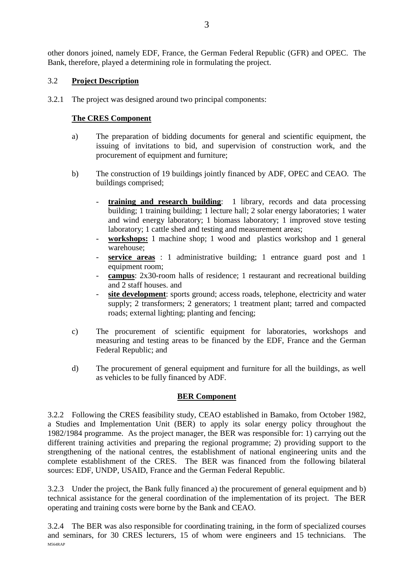other donors joined, namely EDF, France, the German Federal Republic (GFR) and OPEC. The Bank, therefore, played a determining role in formulating the project.

# 3.2 **Project Description**

3.2.1 The project was designed around two principal components:

#### **The CRES Component**

- a) The preparation of bidding documents for general and scientific equipment, the issuing of invitations to bid, and supervision of construction work, and the procurement of equipment and furniture;
- b) The construction of 19 buildings jointly financed by ADF, OPEC and CEAO. The buildings comprised;
	- **training and research building**: 1 library, records and data processing building; 1 training building; 1 lecture hall; 2 solar energy laboratories; 1 water and wind energy laboratory; 1 biomass laboratory; 1 improved stove testing laboratory; 1 cattle shed and testing and measurement areas;
	- **workshops:** 1 machine shop; 1 wood and plastics workshop and 1 general warehouse;
	- service areas : 1 administrative building; 1 entrance guard post and 1 equipment room;
	- **campus**: 2x30-room halls of residence; 1 restaurant and recreational building and 2 staff houses. and
	- site development: sports ground; access roads, telephone, electricity and water supply; 2 transformers; 2 generators; 1 treatment plant; tarred and compacted roads; external lighting; planting and fencing;
- c) The procurement of scientific equipment for laboratories, workshops and measuring and testing areas to be financed by the EDF, France and the German Federal Republic; and
- d) The procurement of general equipment and furniture for all the buildings, as well as vehicles to be fully financed by ADF.

# **BER Component**

3.2.2 Following the CRES feasibility study, CEAO established in Bamako, from October 1982, a Studies and Implementation Unit (BER) to apply its solar energy policy throughout the 1982/1984 programme. As the project manager, the BER was responsible for: 1) carrying out the different training activities and preparing the regional programme; 2) providing support to the strengthening of the national centres, the establishment of national engineering units and the complete establishment of the CRES. The BER was financed from the following bilateral sources: EDF, UNDP, USAID, France and the German Federal Republic.

3.2.3 Under the project, the Bank fully financed a) the procurement of general equipment and b) technical assistance for the general coordination of the implementation of its project. The BER operating and training costs were borne by the Bank and CEAO.

M564RAP 3.2.4 The BER was also responsible for coordinating training, in the form of specialized courses and seminars, for 30 CRES lecturers, 15 of whom were engineers and 15 technicians. The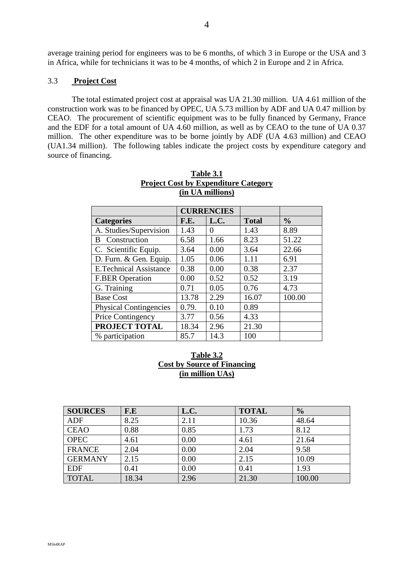average training period for engineers was to be 6 months, of which 3 in Europe or the USA and 3 in Africa, while for technicians it was to be 4 months, of which 2 in Europe and 2 in Africa.

#### 3.3 **Project Cost**

The total estimated project cost at appraisal was UA 21.30 million. UA 4.61 million of the construction work was to be financed by OPEC, UA 5.73 million by ADF and UA 0.47 million by CEAO. The procurement of scientific equipment was to be fully financed by Germany, France and the EDF for a total amount of UA 4.60 million, as well as by CEAO to the tune of UA 0.37 million. The other expenditure was to be borne jointly by ADF (UA 4.63 million) and CEAO (UA1.34 million). The following tables indicate the project costs by expenditure category and source of financing.

|                               |       | <b>CURRENCIES</b> |              |               |  |  |
|-------------------------------|-------|-------------------|--------------|---------------|--|--|
| <b>Categories</b>             | F.E.  | L.C.              | <b>Total</b> | $\frac{0}{0}$ |  |  |
| A. Studies/Supervision        | 1.43  | $\theta$          | 1.43         | 8.89          |  |  |
| Construction<br>B             | 6.58  | 1.66              | 8.23         | 51.22         |  |  |
| C. Scientific Equip.          | 3.64  | 0.00              | 3.64         | 22.66         |  |  |
| D. Furn. & Gen. Equip.        | 1.05  | 0.06              | 1.11         | 6.91          |  |  |
| <b>E.Technical Assistance</b> | 0.38  | 0.00              | 0.38         | 2.37          |  |  |
| <b>F.BER Operation</b>        | 0.00  | 0.52              | 0.52         | 3.19          |  |  |
| G. Training                   | 0.71  | 0.05              | 0.76         | 4.73          |  |  |
| <b>Base Cost</b>              | 13.78 | 2.29              | 16.07        | 100.00        |  |  |
| <b>Physical Contingencies</b> | 0.79. | 0.10              | 0.89         |               |  |  |
| Price Contingency             | 3.77  | 0.56              | 4.33         |               |  |  |
| PROJECT TOTAL                 | 18.34 | 2.96              | 21.30        |               |  |  |
| % participation               | 85.7  | 14.3              | 100          |               |  |  |

| Table 3.1                                   |
|---------------------------------------------|
| <b>Project Cost by Expenditure Category</b> |
| (in UA millions)                            |

# **Table 3.2 Cost by Source of Financing (in million UAs)**

| <b>SOURCES</b> | $F.E$ | L.C. | <b>TOTAL</b> | $\frac{0}{0}$ |
|----------------|-------|------|--------------|---------------|
| ADF            | 8.25  | 2.11 | 10.36        | 48.64         |
| <b>CEAO</b>    | 0.88  | 0.85 | 1.73         | 8.12          |
| <b>OPEC</b>    | 4.61  | 0.00 | 4.61         | 21.64         |
| <b>FRANCE</b>  | 2.04  | 0.00 | 2.04         | 9.58          |
| <b>GERMANY</b> | 2.15  | 0.00 | 2.15         | 10.09         |
| <b>EDF</b>     | 0.41  | 0.00 | 0.41         | 1.93          |
| <b>TOTAL</b>   | 18.34 | 2.96 | 21.30        | 100.00        |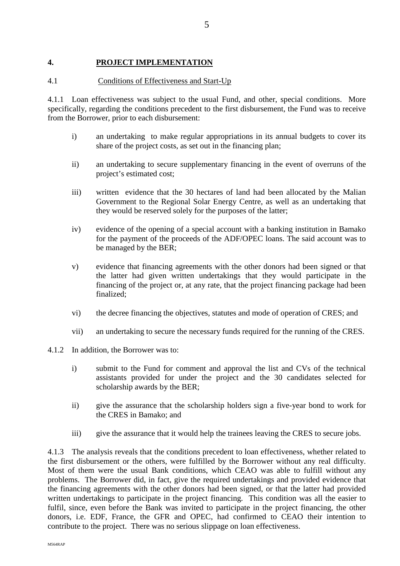#### **4. PROJECT IMPLEMENTATION**

#### 4.1 Conditions of Effectiveness and Start-Up

4.1.1 Loan effectiveness was subject to the usual Fund, and other, special conditions. More specifically, regarding the conditions precedent to the first disbursement, the Fund was to receive from the Borrower, prior to each disbursement:

- i) an undertaking to make regular appropriations in its annual budgets to cover its share of the project costs, as set out in the financing plan;
- ii) an undertaking to secure supplementary financing in the event of overruns of the project's estimated cost;
- iii) written evidence that the 30 hectares of land had been allocated by the Malian Government to the Regional Solar Energy Centre, as well as an undertaking that they would be reserved solely for the purposes of the latter;
- iv) evidence of the opening of a special account with a banking institution in Bamako for the payment of the proceeds of the ADF/OPEC loans. The said account was to be managed by the BER;
- v) evidence that financing agreements with the other donors had been signed or that the latter had given written undertakings that they would participate in the financing of the project or, at any rate, that the project financing package had been finalized;
- vi) the decree financing the objectives, statutes and mode of operation of CRES; and
- vii) an undertaking to secure the necessary funds required for the running of the CRES.
- 4.1.2 In addition, the Borrower was to:
	- i) submit to the Fund for comment and approval the list and CVs of the technical assistants provided for under the project and the 30 candidates selected for scholarship awards by the BER;
	- ii) give the assurance that the scholarship holders sign a five-year bond to work for the CRES in Bamako; and
	- iii) give the assurance that it would help the trainees leaving the CRES to secure jobs.

4.1.3 The analysis reveals that the conditions precedent to loan effectiveness, whether related to the first disbursement or the others, were fulfilled by the Borrower without any real difficulty. Most of them were the usual Bank conditions, which CEAO was able to fulfill without any problems. The Borrower did, in fact, give the required undertakings and provided evidence that the financing agreements with the other donors had been signed, or that the latter had provided written undertakings to participate in the project financing. This condition was all the easier to fulfil, since, even before the Bank was invited to participate in the project financing, the other donors, i.e. EDF, France, the GFR and OPEC, had confirmed to CEAO their intention to contribute to the project. There was no serious slippage on loan effectiveness.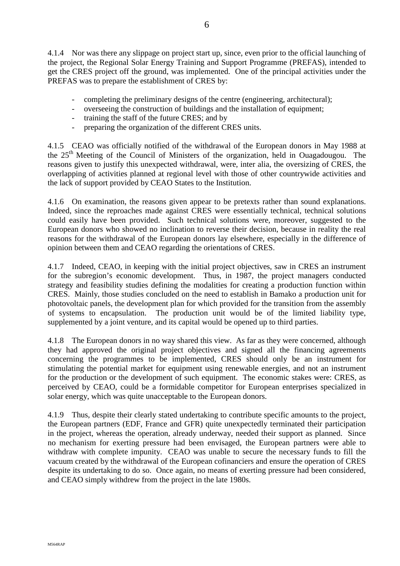4.1.4 Nor was there any slippage on project start up, since, even prior to the official launching of the project, the Regional Solar Energy Training and Support Programme (PREFAS), intended to get the CRES project off the ground, was implemented. One of the principal activities under the PREFAS was to prepare the establishment of CRES by:

- completing the preliminary designs of the centre (engineering, architectural);
- overseeing the construction of buildings and the installation of equipment;
- training the staff of the future CRES; and by
- preparing the organization of the different CRES units.

4.1.5 CEAO was officially notified of the withdrawal of the European donors in May 1988 at the 25<sup>th</sup> Meeting of the Council of Ministers of the organization, held in Ouagadougou. The reasons given to justify this unexpected withdrawal, were, inter alia, the oversizing of CRES, the overlapping of activities planned at regional level with those of other countrywide activities and the lack of support provided by CEAO States to the Institution.

4.1.6 On examination, the reasons given appear to be pretexts rather than sound explanations. Indeed, since the reproaches made against CRES were essentially technical, technical solutions could easily have been provided. Such technical solutions were, moreover, suggested to the European donors who showed no inclination to reverse their decision, because in reality the real reasons for the withdrawal of the European donors lay elsewhere, especially in the difference of opinion between them and CEAO regarding the orientations of CRES.

4.1.7 Indeed, CEAO, in keeping with the initial project objectives, saw in CRES an instrument for the subregion's economic development. Thus, in 1987, the project managers conducted strategy and feasibility studies defining the modalities for creating a production function within CRES. Mainly, those studies concluded on the need to establish in Bamako a production unit for photovoltaic panels, the development plan for which provided for the transition from the assembly of systems to encapsulation. The production unit would be of the limited liability type, supplemented by a joint venture, and its capital would be opened up to third parties.

4.1.8 The European donors in no way shared this view. As far as they were concerned, although they had approved the original project objectives and signed all the financing agreements concerning the programmes to be implemented, CRES should only be an instrument for stimulating the potential market for equipment using renewable energies, and not an instrument for the production or the development of such equipment. The economic stakes were: CRES, as perceived by CEAO, could be a formidable competitor for European enterprises specialized in solar energy, which was quite unacceptable to the European donors.

4.1.9 Thus, despite their clearly stated undertaking to contribute specific amounts to the project, the European partners (EDF, France and GFR) quite unexpectedly terminated their participation in the project, whereas the operation, already underway, needed their support as planned. Since no mechanism for exerting pressure had been envisaged, the European partners were able to withdraw with complete impunity. CEAO was unable to secure the necessary funds to fill the vacuum created by the withdrawal of the European cofinanciers and ensure the operation of CRES despite its undertaking to do so. Once again, no means of exerting pressure had been considered, and CEAO simply withdrew from the project in the late 1980s.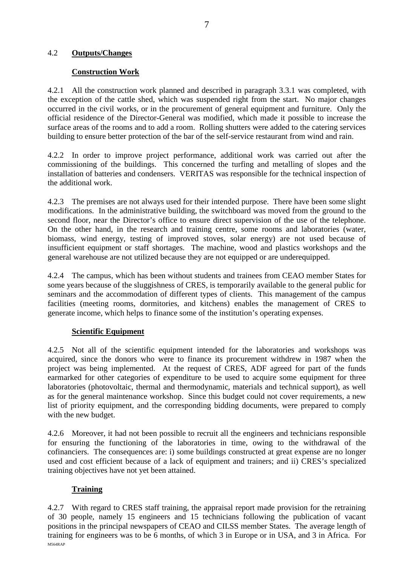#### 4.2 **Outputs/Changes**

#### **Construction Work**

4.2.1 All the construction work planned and described in paragraph 3.3.1 was completed, with the exception of the cattle shed, which was suspended right from the start. No major changes occurred in the civil works, or in the procurement of general equipment and furniture. Only the official residence of the Director-General was modified, which made it possible to increase the surface areas of the rooms and to add a room. Rolling shutters were added to the catering services building to ensure better protection of the bar of the self-service restaurant from wind and rain.

4.2.2 In order to improve project performance, additional work was carried out after the commissioning of the buildings. This concerned the turfing and metalling of slopes and the installation of batteries and condensers. VERITAS was responsible for the technical inspection of the additional work.

4.2.3 The premises are not always used for their intended purpose. There have been some slight modifications. In the administrative building, the switchboard was moved from the ground to the second floor, near the Director's office to ensure direct supervision of the use of the telephone. On the other hand, in the research and training centre, some rooms and laboratories (water, biomass, wind energy, testing of improved stoves, solar energy) are not used because of insufficient equipment or staff shortages. The machine, wood and plastics workshops and the general warehouse are not utilized because they are not equipped or are underequipped.

4.2.4 The campus, which has been without students and trainees from CEAO member States for some years because of the sluggishness of CRES, is temporarily available to the general public for seminars and the accommodation of different types of clients. This management of the campus facilities (meeting rooms, dormitories, and kitchens) enables the management of CRES to generate income, which helps to finance some of the institution's operating expenses.

#### **Scientific Equipment**

4.2.5 Not all of the scientific equipment intended for the laboratories and workshops was acquired, since the donors who were to finance its procurement withdrew in 1987 when the project was being implemented. At the request of CRES, ADF agreed for part of the funds earmarked for other categories of expenditure to be used to acquire some equipment for three laboratories (photovoltaic, thermal and thermodynamic, materials and technical support), as well as for the general maintenance workshop. Since this budget could not cover requirements, a new list of priority equipment, and the corresponding bidding documents, were prepared to comply with the new budget.

4.2.6 Moreover, it had not been possible to recruit all the engineers and technicians responsible for ensuring the functioning of the laboratories in time, owing to the withdrawal of the cofinanciers. The consequences are: i) some buildings constructed at great expense are no longer used and cost efficient because of a lack of equipment and trainers; and ii) CRES's specialized training objectives have not yet been attained.

# **Training**

M564RAP 4.2.7 With regard to CRES staff training, the appraisal report made provision for the retraining of 30 people, namely 15 engineers and 15 technicians following the publication of vacant positions in the principal newspapers of CEAO and CILSS member States. The average length of training for engineers was to be 6 months, of which 3 in Europe or in USA, and 3 in Africa. For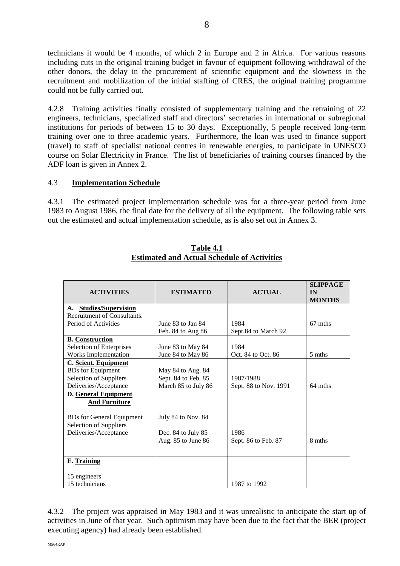technicians it would be 4 months, of which 2 in Europe and 2 in Africa. For various reasons including cuts in the original training budget in favour of equipment following withdrawal of the other donors, the delay in the procurement of scientific equipment and the slowness in the recruitment and mobilization of the initial staffing of CRES, the original training programme could not be fully carried out.

4.2.8 Training activities finally consisted of supplementary training and the retraining of 22 engineers, technicians, specialized staff and directors' secretaries in international or subregional institutions for periods of between 15 to 30 days. Exceptionally, 5 people received long-term training over one to three academic years. Furthermore, the loan was used to finance support (travel) to staff of specialist national centres in renewable energies, to participate in UNESCO course on Solar Electricity in France. The list of beneficiaries of training courses financed by the ADF loan is given in Annex 2.

# 4.3 **Implementation Schedule**

4.3.1 The estimated project implementation schedule was for a three-year period from June 1983 to August 1986, the final date for the delivery of all the equipment. The following table sets out the estimated and actual implementation schedule, as is also set out in Annex 3.

| <b>ACTIVITIES</b>                | <b>ESTIMATED</b>    | <b>ACTUAL</b>         | <b>SLIPPAGE</b><br>IN<br><b>MONTHS</b> |
|----------------------------------|---------------------|-----------------------|----------------------------------------|
| <b>Studies/Supervision</b><br>A. |                     |                       |                                        |
| Recruitment of Consultants.      |                     |                       |                                        |
| Period of Activities             | June 83 to Jan 84   | 1984                  | 67 mths                                |
|                                  | Feb. 84 to Aug 86   | Sept.84 to March 92   |                                        |
| <b>B.</b> Construction           |                     |                       |                                        |
| <b>Selection of Enterprises</b>  | June 83 to May 84   | 1984                  |                                        |
| Works Implementation             | June 84 to May 86   | Oct. 84 to Oct. 86    | 5 mths                                 |
| C. Scient. Equipment             |                     |                       |                                        |
| <b>BDs</b> for Equipment         | May 84 to Aug. 84   |                       |                                        |
| Selection of Suppliers           | Sept. 84 to Feb. 85 | 1987/1988             |                                        |
| Deliveries/Acceptance            | March 85 to July 86 | Sept. 88 to Nov. 1991 | 64 mths                                |
| <b>D.</b> General Equipment      |                     |                       |                                        |
| <b>And Furniture</b>             |                     |                       |                                        |
|                                  |                     |                       |                                        |
| <b>BDs</b> for General Equipment | July 84 to Nov. 84  |                       |                                        |
| <b>Selection of Suppliers</b>    |                     |                       |                                        |
| Deliveries/Acceptance            | Dec. 84 to July 85  | 1986                  |                                        |
|                                  | Aug. 85 to June 86  | Sept. 86 to Feb. 87   | 8 mths                                 |
|                                  |                     |                       |                                        |
| E. Training                      |                     |                       |                                        |
|                                  |                     |                       |                                        |
| 15 engineers                     |                     |                       |                                        |
| 15 technicians                   |                     | 1987 to 1992          |                                        |

#### **Table 4.1 Estimated and Actual Schedule of Activities**

4.3.2 The project was appraised in May 1983 and it was unrealistic to anticipate the start up of activities in June of that year. Such optimism may have been due to the fact that the BER (project executing agency) had already been established.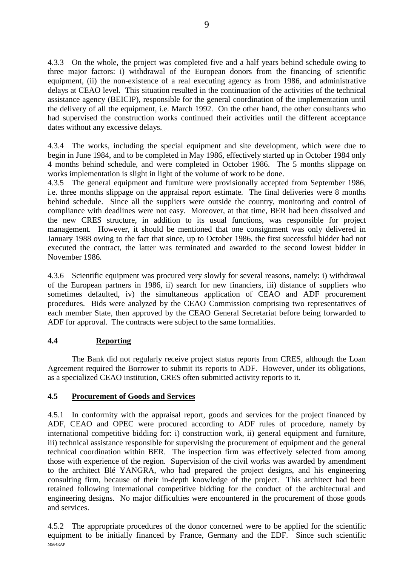4.3.3 On the whole, the project was completed five and a half years behind schedule owing to three major factors: i) withdrawal of the European donors from the financing of scientific equipment, (ii) the non-existence of a real executing agency as from 1986, and administrative delays at CEAO level. This situation resulted in the continuation of the activities of the technical assistance agency (BEICIP), responsible for the general coordination of the implementation until the delivery of all the equipment, i.e. March 1992. On the other hand, the other consultants who had supervised the construction works continued their activities until the different acceptance dates without any excessive delays.

4.3.4 The works, including the special equipment and site development, which were due to begin in June 1984, and to be completed in May 1986, effectively started up in October 1984 only 4 months behind schedule, and were completed in October 1986. The 5 months slippage on works implementation is slight in light of the volume of work to be done.

4.3.5 The general equipment and furniture were provisionally accepted from September 1986, i.e. three months slippage on the appraisal report estimate. The final deliveries were 8 months behind schedule. Since all the suppliers were outside the country, monitoring and control of compliance with deadlines were not easy. Moreover, at that time, BER had been dissolved and the new CRES structure, in addition to its usual functions, was responsible for project management. However, it should be mentioned that one consignment was only delivered in January 1988 owing to the fact that since, up to October 1986, the first successful bidder had not executed the contract, the latter was terminated and awarded to the second lowest bidder in November 1986.

4.3.6 Scientific equipment was procured very slowly for several reasons, namely: i) withdrawal of the European partners in 1986, ii) search for new financiers, iii) distance of suppliers who sometimes defaulted, iv) the simultaneous application of CEAO and ADF procurement procedures. Bids were analyzed by the CEAO Commission comprising two representatives of each member State, then approved by the CEAO General Secretariat before being forwarded to ADF for approval. The contracts were subject to the same formalities.

# **4.4 Reporting**

The Bank did not regularly receive project status reports from CRES, although the Loan Agreement required the Borrower to submit its reports to ADF. However, under its obligations, as a specialized CEAO institution, CRES often submitted activity reports to it.

# **4.5 Procurement of Goods and Services**

4.5.1 In conformity with the appraisal report, goods and services for the project financed by ADF, CEAO and OPEC were procured according to ADF rules of procedure, namely by international competitive bidding for: i) construction work, ii) general equipment and furniture, iii) technical assistance responsible for supervising the procurement of equipment and the general technical coordination within BER. The inspection firm was effectively selected from among those with experience of the region. Supervision of the civil works was awarded by amendment to the architect Blé YANGRA, who had prepared the project designs, and his engineering consulting firm, because of their in-depth knowledge of the project. This architect had been retained following international competitive bidding for the conduct of the architectural and engineering designs. No major difficulties were encountered in the procurement of those goods and services.

M564RAP 4.5.2 The appropriate procedures of the donor concerned were to be applied for the scientific equipment to be initially financed by France, Germany and the EDF. Since such scientific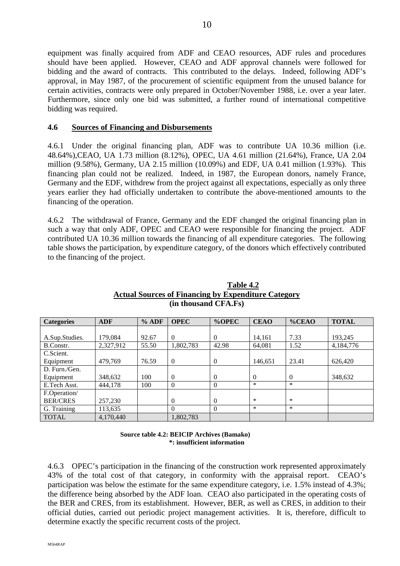equipment was finally acquired from ADF and CEAO resources, ADF rules and procedures should have been applied. However, CEAO and ADF approval channels were followed for bidding and the award of contracts. This contributed to the delays. Indeed, following ADF's approval, in May 1987, of the procurement of scientific equipment from the unused balance for certain activities, contracts were only prepared in October/November 1988, i.e. over a year later. Furthermore, since only one bid was submitted, a further round of international competitive bidding was required.

#### **4.6 Sources of Financing and Disbursements**

4.6.1 Under the original financing plan, ADF was to contribute UA 10.36 million (i.e. 48.64%),CEAO, UA 1.73 million (8.12%), OPEC, UA 4.61 million (21.64%), France, UA 2.04 million (9.58%), Germany, UA 2.15 million (10.09%) and EDF, UA 0.41 million (1.93%). This financing plan could not be realized. Indeed, in 1987, the European donors, namely France, Germany and the EDF, withdrew from the project against all expectations, especially as only three years earlier they had officially undertaken to contribute the above-mentioned amounts to the financing of the operation.

4.6.2 The withdrawal of France, Germany and the EDF changed the original financing plan in such a way that only ADF, OPEC and CEAO were responsible for financing the project. ADF contributed UA 10.36 million towards the financing of all expenditure categories. The following table shows the participation, by expenditure category, of the donors which effectively contributed to the financing of the project.

| <b>Categories</b> | <b>ADF</b> | $%$ ADF | <b>OPEC</b> | %OPEC    | <b>CEAO</b> | $%$ CEAO       | <b>TOTAL</b> |
|-------------------|------------|---------|-------------|----------|-------------|----------------|--------------|
|                   |            |         |             |          |             |                |              |
| A.Sup.Studies.    | 179.084    | 92.67   | $\Omega$    | $\Omega$ | 14,161      | 7.33           | 193,245      |
| B.Constr.         | 2,327,912  | 55.50   | 1,802,783   | 42.98    | 64,081      | 1.52           | 4,184,776    |
| C.Scient.         |            |         |             |          |             |                |              |
| Equipment         | 479.769    | 76.59   | $\theta$    | $\Omega$ | 146,651     | 23.41          | 626,420      |
| D. Furn./Gen.     |            |         |             |          |             |                |              |
| Equipment         | 348,632    | 100     | $\Omega$    | $\Omega$ | $\Omega$    | $\overline{0}$ | 348,632      |
| E.Tech Asst.      | 444,178    | 100     | $\Omega$    | $\theta$ | *           | $\ast$         |              |
| F.Operation/      |            |         |             |          |             |                |              |
| <b>BER/CRES</b>   | 257,230    |         | $\Omega$    | $\Omega$ | ∗           | $\ast$         |              |
| G. Training       | 113,635    |         |             | $\Omega$ | $\ast$      | $\ast$         |              |
| <b>TOTAL</b>      | 4,170,440  |         | 1,802,783   |          |             |                |              |

#### **Table 4.2 Actual Sources of Financing by Expenditure Category (in thousand CFA.Fs)**

**Source table 4.2: BEICIP Archives (Bamako) \*: insufficient information**

4.6.3 OPEC's participation in the financing of the construction work represented approximately 43% of the total cost of that category, in conformity with the appraisal report. CEAO's participation was below the estimate for the same expenditure category, i.e. 1.5% instead of 4.3%; the difference being absorbed by the ADF loan. CEAO also participated in the operating costs of the BER and CRES, from its establishment. However, BER, as well as CRES, in addition to their official duties, carried out periodic project management activities. It is, therefore, difficult to determine exactly the specific recurrent costs of the project.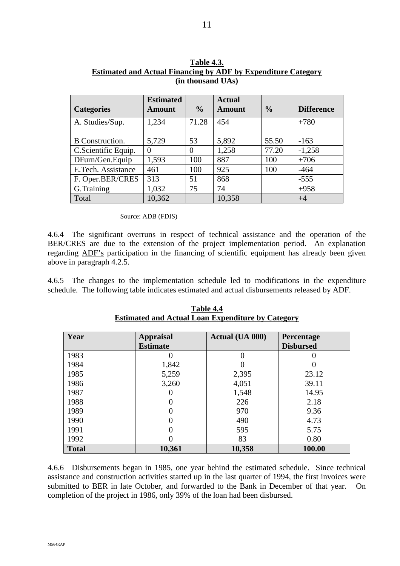|                        | <b>Estimated</b> |               | <b>Actual</b> |               |                   |
|------------------------|------------------|---------------|---------------|---------------|-------------------|
| <b>Categories</b>      | <b>Amount</b>    | $\frac{0}{0}$ | <b>Amount</b> | $\frac{0}{0}$ | <b>Difference</b> |
| A. Studies/Sup.        | 1,234            | 71.28         | 454           |               | $+780$            |
| <b>B</b> Construction. | 5,729            | 53            | 5,892         | 55.50         | $-163$            |
| C.Scientific Equip.    | $\Omega$         |               | 1,258         | 77.20         | $-1,258$          |
| DFurn/Gen.Equip        | 1,593            | 100           | 887           | 100           | $+706$            |
| E.Tech. Assistance     | 461              | 100           | 925           | 100           | $-464$            |
| F. Oper.BER/CRES       | 313              | 51            | 868           |               | $-555$            |
| G.Training             | 1,032            | 75            | 74            |               | $+958$            |
| Total                  | 10,362           |               | 10,358        |               | $+4$              |

| <b>Table 4.3.</b>                                                    |  |  |  |  |  |
|----------------------------------------------------------------------|--|--|--|--|--|
| <b>Estimated and Actual Financing by ADF by Expenditure Category</b> |  |  |  |  |  |
| (in thousand UAs)                                                    |  |  |  |  |  |

Source: ADB (FDIS)

4.6.4 The significant overruns in respect of technical assistance and the operation of the BER/CRES are due to the extension of the project implementation period. An explanation regarding ADF's participation in the financing of scientific equipment has already been given above in paragraph 4.2.5.

4.6.5 The changes to the implementation schedule led to modifications in the expenditure schedule. The following table indicates estimated and actual disbursements released by ADF.

| Year         | <b>Appraisal</b> | Actual (UA 000) | Percentage       |  |
|--------------|------------------|-----------------|------------------|--|
|              | <b>Estimate</b>  |                 | <b>Disbursed</b> |  |
| 1983         |                  |                 |                  |  |
| 1984         | 1,842            |                 |                  |  |
| 1985         | 5,259            | 2,395           | 23.12            |  |
| 1986         | 3,260            | 4,051           | 39.11            |  |
| 1987         |                  | 1,548           | 14.95            |  |
| 1988         |                  | 226             | 2.18             |  |
| 1989         |                  | 970             | 9.36             |  |
| 1990         | 0                | 490             | 4.73             |  |
| 1991         |                  | 595             | 5.75             |  |
| 1992         |                  | 83              | 0.80             |  |
| <b>Total</b> | 10,361           | 10,358          | 100.00           |  |

**Table 4.4 Estimated and Actual Loan Expenditure by Category**

4.6.6 Disbursements began in 1985, one year behind the estimated schedule. Since technical assistance and construction activities started up in the last quarter of 1994, the first invoices were submitted to BER in late October, and forwarded to the Bank in December of that year. On completion of the project in 1986, only 39% of the loan had been disbursed.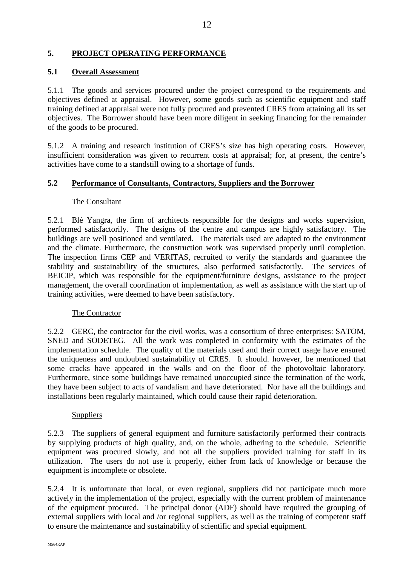# **5. PROJECT OPERATING PERFORMANCE**

#### **5.1 Overall Assessment**

5.1.1 The goods and services procured under the project correspond to the requirements and objectives defined at appraisal. However, some goods such as scientific equipment and staff training defined at appraisal were not fully procured and prevented CRES from attaining all its set objectives. The Borrower should have been more diligent in seeking financing for the remainder of the goods to be procured.

5.1.2 A training and research institution of CRES's size has high operating costs. However, insufficient consideration was given to recurrent costs at appraisal; for, at present, the centre's activities have come to a standstill owing to a shortage of funds.

#### **5.2 Performance of Consultants, Contractors, Suppliers and the Borrower**

#### The Consultant

5.2.1 Blé Yangra, the firm of architects responsible for the designs and works supervision, performed satisfactorily. The designs of the centre and campus are highly satisfactory. The buildings are well positioned and ventilated. The materials used are adapted to the environment and the climate. Furthermore, the construction work was supervised properly until completion. The inspection firms CEP and VERITAS, recruited to verify the standards and guarantee the stability and sustainability of the structures, also performed satisfactorily. The services of BEICIP, which was responsible for the equipment/furniture designs, assistance to the project management, the overall coordination of implementation, as well as assistance with the start up of training activities, were deemed to have been satisfactory.

#### The Contractor

5.2.2 GERC, the contractor for the civil works, was a consortium of three enterprises: SATOM, SNED and SODETEG. All the work was completed in conformity with the estimates of the implementation schedule. The quality of the materials used and their correct usage have ensured the uniqueness and undoubted sustainability of CRES. It should. however, be mentioned that some cracks have appeared in the walls and on the floor of the photovoltaic laboratory. Furthermore, since some buildings have remained unoccupied since the termination of the work, they have been subject to acts of vandalism and have deteriorated. Nor have all the buildings and installations been regularly maintained, which could cause their rapid deterioration.

#### Suppliers

5.2.3 The suppliers of general equipment and furniture satisfactorily performed their contracts by supplying products of high quality, and, on the whole, adhering to the schedule. Scientific equipment was procured slowly, and not all the suppliers provided training for staff in its utilization. The users do not use it properly, either from lack of knowledge or because the equipment is incomplete or obsolete.

5.2.4 It is unfortunate that local, or even regional, suppliers did not participate much more actively in the implementation of the project, especially with the current problem of maintenance of the equipment procured. The principal donor (ADF) should have required the grouping of external suppliers with local and /or regional suppliers, as well as the training of competent staff to ensure the maintenance and sustainability of scientific and special equipment.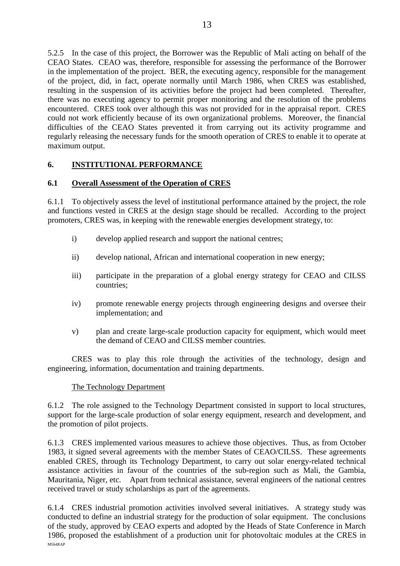5.2.5 In the case of this project, the Borrower was the Republic of Mali acting on behalf of the CEAO States. CEAO was, therefore, responsible for assessing the performance of the Borrower in the implementation of the project. BER, the executing agency, responsible for the management of the project, did, in fact, operate normally until March 1986, when CRES was established, resulting in the suspension of its activities before the project had been completed. Thereafter, there was no executing agency to permit proper monitoring and the resolution of the problems encountered. CRES took over although this was not provided for in the appraisal report. CRES could not work efficiently because of its own organizational problems. Moreover, the financial difficulties of the CEAO States prevented it from carrying out its activity programme and regularly releasing the necessary funds for the smooth operation of CRES to enable it to operate at maximum output.

# **6. INSTITUTIONAL PERFORMANCE**

#### **6.1 Overall Assessment of the Operation of CRES**

6.1.1 To objectively assess the level of institutional performance attained by the project, the role and functions vested in CRES at the design stage should be recalled. According to the project promoters, CRES was, in keeping with the renewable energies development strategy, to:

- i) develop applied research and support the national centres;
- ii) develop national, African and international cooperation in new energy;
- iii) participate in the preparation of a global energy strategy for CEAO and CILSS countries;
- iv) promote renewable energy projects through engineering designs and oversee their implementation; and
- v) plan and create large-scale production capacity for equipment, which would meet the demand of CEAO and CILSS member countries.

CRES was to play this role through the activities of the technology, design and engineering, information, documentation and training departments.

# The Technology Department

6.1.2 The role assigned to the Technology Department consisted in support to local structures, support for the large-scale production of solar energy equipment, research and development, and the promotion of pilot projects.

6.1.3 CRES implemented various measures to achieve those objectives. Thus, as from October 1983, it signed several agreements with the member States of CEAO/CILSS. These agreements enabled CRES, through its Technology Department, to carry out solar energy-related technical assistance activities in favour of the countries of the sub-region such as Mali, the Gambia, Mauritania, Niger, etc. Apart from technical assistance, several engineers of the national centres received travel or study scholarships as part of the agreements.

M564RAP 6.1.4 CRES industrial promotion activities involved several initiatives. A strategy study was conducted to define an industrial strategy for the production of solar equipment. The conclusions of the study, approved by CEAO experts and adopted by the Heads of State Conference in March 1986, proposed the establishment of a production unit for photovoltaic modules at the CRES in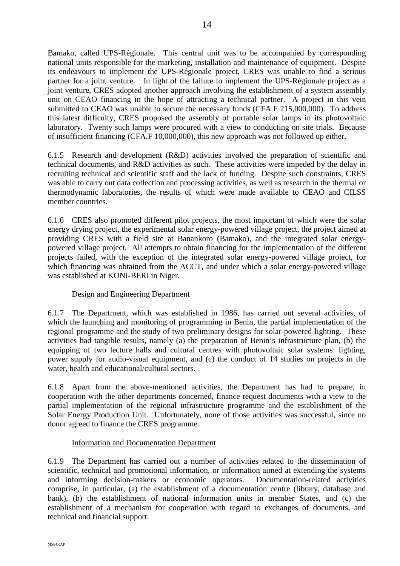Bamako, called UPS-Régionale. This central unit was to be accompanied by corresponding national units responsible for the marketing, installation and maintenance of equipment. Despite its endeavours to implement the UPS-Régionale project, CRES was unable to find a serious partner for a joint venture. In light of the failure to implement the UPS-Régionale project as a joint venture, CRES adopted another approach involving the establishment of a system assembly unit on CEAO financing in the hope of attracting a technical partner. A project in this vein submitted to CEAO was unable to secure the necessary funds (CFA.F 215,000,000). To address this latest difficulty, CRES proposed the assembly of portable solar lamps in its photovoltaic laboratory. Twenty such lamps were procured with a view to conducting on site trials. Because of insufficient financing (CFA.F 10,000,000), this new approach was not followed up either.

6.1.5 Research and development (R&D) activities involved the preparation of scientific and technical documents, and R&D activities as such. These activities were impeded by the delay in recruiting technical and scientific staff and the lack of funding. Despite such constraints, CRES was able to carry out data collection and processing activities, as well as research in the thermal or thermodynamic laboratories, the results of which were made available to CEAO and CILSS member countries.

6.1.6 CRES also promoted different pilot projects, the most important of which were the solar energy drying project, the experimental solar energy-powered village project, the project aimed at providing CRES with a field site at Banankoro (Bamako), and the integrated solar energypowered village project. All attempts to obtain financing for the implementation of the different projects failed, with the exception of the integrated solar energy-powered village project, for which financing was obtained from the ACCT, and under which a solar energy-powered village was established at KONI-BERI in Niger.

# Design and Engineering Department

6.1.7 The Department, which was established in 1986, has carried out several activities, of which the launching and monitoring of programming in Benin, the partial implementation of the regional programme and the study of two preliminary designs for solar-powered lighting. These activities had tangible results, namely (a) the preparation of Benin's infrastructure plan, (b) the equipping of two lecture halls and cultural centres with photovoltaic solar systems: lighting, power supply for audio-visual equipment, and (c) the conduct of 14 studies on projects in the water, health and educational/cultural sectors.

6.1.8 Apart from the above-mentioned activities, the Department has had to prepare, in cooperation with the other departments concerned, finance request documents with a view to the partial implementation of the regional infrastructure programme and the establishment of the Solar Energy Production Unit. Unfortunately, none of those activities was successful, since no donor agreed to finance the CRES programme.

# Information and Documentation Department

6.1.9 The Department has carried out a number of activities related to the dissemination of scientific, technical and promotional information, or information aimed at extending the systems and informing decision-makers or economic operators. Documentation-related activities comprise, in particular, (a) the establishment of a documentation centre (library, database and bank), (b) the establishment of national information units in member States, and (c) the establishment of a mechanism for cooperation with regard to exchanges of documents, and technical and financial support.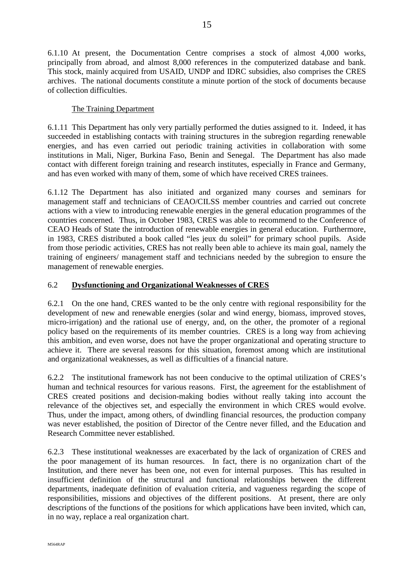6.1.10 At present, the Documentation Centre comprises a stock of almost 4,000 works, principally from abroad, and almost 8,000 references in the computerized database and bank. This stock, mainly acquired from USAID, UNDP and IDRC subsidies, also comprises the CRES archives. The national documents constitute a minute portion of the stock of documents because of collection difficulties.

# The Training Department

6.1.11 This Department has only very partially performed the duties assigned to it. Indeed, it has succeeded in establishing contacts with training structures in the subregion regarding renewable energies, and has even carried out periodic training activities in collaboration with some institutions in Mali, Niger, Burkina Faso, Benin and Senegal. The Department has also made contact with different foreign training and research institutes, especially in France and Germany, and has even worked with many of them, some of which have received CRES trainees.

6.1.12 The Department has also initiated and organized many courses and seminars for management staff and technicians of CEAO/CILSS member countries and carried out concrete actions with a view to introducing renewable energies in the general education programmes of the countries concerned. Thus, in October 1983, CRES was able to recommend to the Conference of CEAO Heads of State the introduction of renewable energies in general education. Furthermore, in 1983, CRES distributed a book called "les jeux du soleil" for primary school pupils. Aside from those periodic activities, CRES has not really been able to achieve its main goal, namely the training of engineers/ management staff and technicians needed by the subregion to ensure the management of renewable energies.

## 6.2 **Dysfunctioning and Organizational Weaknesses of CRES**

6.2.1 On the one hand, CRES wanted to be the only centre with regional responsibility for the development of new and renewable energies (solar and wind energy, biomass, improved stoves, micro-irrigation) and the rational use of energy, and, on the other, the promoter of a regional policy based on the requirements of its member countries. CRES is a long way from achieving this ambition, and even worse, does not have the proper organizational and operating structure to achieve it. There are several reasons for this situation, foremost among which are institutional and organizational weaknesses, as well as difficulties of a financial nature.

6.2.2 The institutional framework has not been conducive to the optimal utilization of CRES's human and technical resources for various reasons. First, the agreement for the establishment of CRES created positions and decision-making bodies without really taking into account the relevance of the objectives set, and especially the environment in which CRES would evolve. Thus, under the impact, among others, of dwindling financial resources, the production company was never established, the position of Director of the Centre never filled, and the Education and Research Committee never established.

6.2.3 These institutional weaknesses are exacerbated by the lack of organization of CRES and the poor management of its human resources. In fact, there is no organization chart of the Institution, and there never has been one, not even for internal purposes. This has resulted in insufficient definition of the structural and functional relationships between the different departments, inadequate definition of evaluation criteria, and vagueness regarding the scope of responsibilities, missions and objectives of the different positions. At present, there are only descriptions of the functions of the positions for which applications have been invited, which can, in no way, replace a real organization chart.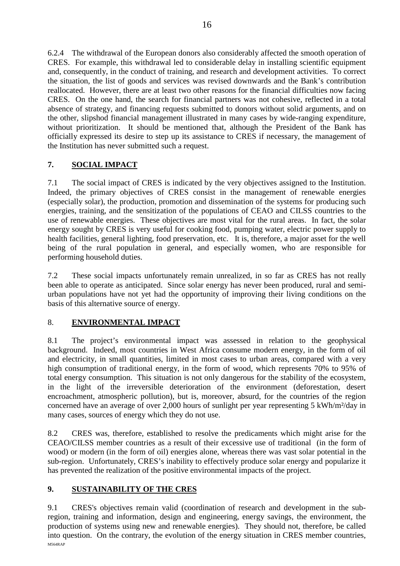6.2.4 The withdrawal of the European donors also considerably affected the smooth operation of CRES. For example, this withdrawal led to considerable delay in installing scientific equipment and, consequently, in the conduct of training, and research and development activities. To correct the situation, the list of goods and services was revised downwards and the Bank's contribution reallocated. However, there are at least two other reasons for the financial difficulties now facing CRES. On the one hand, the search for financial partners was not cohesive, reflected in a total absence of strategy, and financing requests submitted to donors without solid arguments, and on the other, slipshod financial management illustrated in many cases by wide-ranging expenditure, without prioritization. It should be mentioned that, although the President of the Bank has officially expressed its desire to step up its assistance to CRES if necessary, the management of the Institution has never submitted such a request.

# **7. SOCIAL IMPACT**

7.1 The social impact of CRES is indicated by the very objectives assigned to the Institution. Indeed, the primary objectives of CRES consist in the management of renewable energies (especially solar), the production, promotion and dissemination of the systems for producing such energies, training, and the sensitization of the populations of CEAO and CILSS countries to the use of renewable energies. These objectives are most vital for the rural areas. In fact, the solar energy sought by CRES is very useful for cooking food, pumping water, electric power supply to health facilities, general lighting, food preservation, etc. It is, therefore, a major asset for the well being of the rural population in general, and especially women, who are responsible for performing household duties.

7.2 These social impacts unfortunately remain unrealized, in so far as CRES has not really been able to operate as anticipated. Since solar energy has never been produced, rural and semiurban populations have not yet had the opportunity of improving their living conditions on the basis of this alternative source of energy.

# 8. **ENVIRONMENTAL IMPACT**

8.1 The project's environmental impact was assessed in relation to the geophysical background. Indeed, most countries in West Africa consume modern energy, in the form of oil and electricity, in small quantities, limited in most cases to urban areas, compared with a very high consumption of traditional energy, in the form of wood, which represents 70% to 95% of total energy consumption. This situation is not only dangerous for the stability of the ecosystem, in the light of the irreversible deterioration of the environment (deforestation, desert encroachment, atmospheric pollution), but is, moreover, absurd, for the countries of the region concerned have an average of over 2,000 hours of sunlight per year representing 5 kWh/m²/day in many cases, sources of energy which they do not use.

8.2 CRES was, therefore, established to resolve the predicaments which might arise for the CEAO/CILSS member countries as a result of their excessive use of traditional (in the form of wood) or modern (in the form of oil) energies alone, whereas there was vast solar potential in the sub-region. Unfortunately, CRES's inability to effectively produce solar energy and popularize it has prevented the realization of the positive environmental impacts of the project.

# **9. SUSTAINABILITY OF THE CRES**

M564RAP 9.1 CRES's objectives remain valid (coordination of research and development in the subregion, training and information, design and engineering, energy savings, the environment, the production of systems using new and renewable energies). They should not, therefore, be called into question. On the contrary, the evolution of the energy situation in CRES member countries,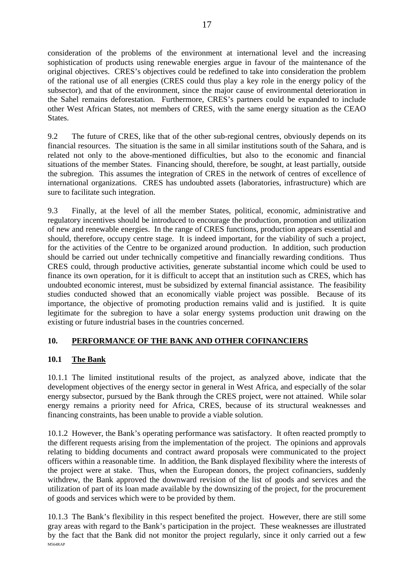consideration of the problems of the environment at international level and the increasing sophistication of products using renewable energies argue in favour of the maintenance of the original objectives. CRES's objectives could be redefined to take into consideration the problem of the rational use of all energies (CRES could thus play a key role in the energy policy of the subsector), and that of the environment, since the major cause of environmental deterioration in the Sahel remains deforestation. Furthermore, CRES's partners could be expanded to include other West African States, not members of CRES, with the same energy situation as the CEAO **States** 

9.2 The future of CRES, like that of the other sub-regional centres, obviously depends on its financial resources. The situation is the same in all similar institutions south of the Sahara, and is related not only to the above-mentioned difficulties, but also to the economic and financial situations of the member States. Financing should, therefore, be sought, at least partially, outside the subregion. This assumes the integration of CRES in the network of centres of excellence of international organizations. CRES has undoubted assets (laboratories, infrastructure) which are sure to facilitate such integration.

9.3 Finally, at the level of all the member States, political, economic, administrative and regulatory incentives should be introduced to encourage the production, promotion and utilization of new and renewable energies. In the range of CRES functions, production appears essential and should, therefore, occupy centre stage. It is indeed important, for the viability of such a project, for the activities of the Centre to be organized around production. In addition, such production should be carried out under technically competitive and financially rewarding conditions. Thus CRES could, through productive activities, generate substantial income which could be used to finance its own operation, for it is difficult to accept that an institution such as CRES, which has undoubted economic interest, must be subsidized by external financial assistance. The feasibility studies conducted showed that an economically viable project was possible. Because of its importance, the objective of promoting production remains valid and is justified. It is quite legitimate for the subregion to have a solar energy systems production unit drawing on the existing or future industrial bases in the countries concerned.

# **10. PERFORMANCE OF THE BANK AND OTHER COFINANCIERS**

# **10.1 The Bank**

10.1.1 The limited institutional results of the project, as analyzed above, indicate that the development objectives of the energy sector in general in West Africa, and especially of the solar energy subsector, pursued by the Bank through the CRES project, were not attained. While solar energy remains a priority need for Africa, CRES, because of its structural weaknesses and financing constraints, has been unable to provide a viable solution.

10.1.2 However, the Bank's operating performance was satisfactory. It often reacted promptly to the different requests arising from the implementation of the project. The opinions and approvals relating to bidding documents and contract award proposals were communicated to the project officers within a reasonable time. In addition, the Bank displayed flexibility where the interests of the project were at stake. Thus, when the European donors, the project cofinanciers, suddenly withdrew, the Bank approved the downward revision of the list of goods and services and the utilization of part of its loan made available by the downsizing of the project, for the procurement of goods and services which were to be provided by them.

M564RAP 10.1.3 The Bank's flexibility in this respect benefited the project. However, there are still some gray areas with regard to the Bank's participation in the project. These weaknesses are illustrated by the fact that the Bank did not monitor the project regularly, since it only carried out a few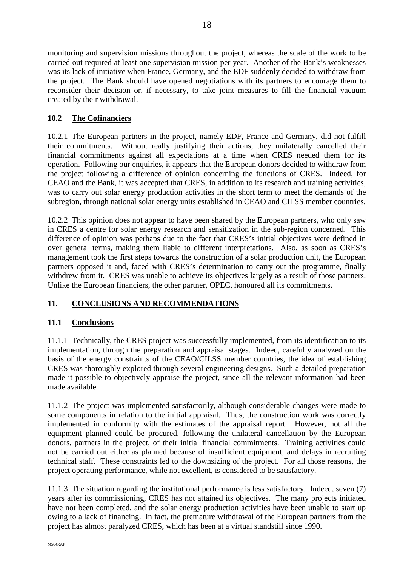monitoring and supervision missions throughout the project, whereas the scale of the work to be carried out required at least one supervision mission per year. Another of the Bank's weaknesses was its lack of initiative when France, Germany, and the EDF suddenly decided to withdraw from the project. The Bank should have opened negotiations with its partners to encourage them to reconsider their decision or, if necessary, to take joint measures to fill the financial vacuum created by their withdrawal.

# **10.2 The Cofinanciers**

10.2.1 The European partners in the project, namely EDF, France and Germany, did not fulfill their commitments. Without really justifying their actions, they unilaterally cancelled their financial commitments against all expectations at a time when CRES needed them for its operation. Following our enquiries, it appears that the European donors decided to withdraw from the project following a difference of opinion concerning the functions of CRES. Indeed, for CEAO and the Bank, it was accepted that CRES, in addition to its research and training activities, was to carry out solar energy production activities in the short term to meet the demands of the subregion, through national solar energy units established in CEAO and CILSS member countries.

10.2.2 This opinion does not appear to have been shared by the European partners, who only saw in CRES a centre for solar energy research and sensitization in the sub-region concerned. This difference of opinion was perhaps due to the fact that CRES's initial objectives were defined in over general terms, making them liable to different interpretations. Also, as soon as CRES's management took the first steps towards the construction of a solar production unit, the European partners opposed it and, faced with CRES's determination to carry out the programme, finally withdrew from it. CRES was unable to achieve its objectives largely as a result of those partners. Unlike the European financiers, the other partner, OPEC, honoured all its commitments.

# **11. CONCLUSIONS AND RECOMMENDATIONS**

# **11.1 Conclusions**

11.1.1 Technically, the CRES project was successfully implemented, from its identification to its implementation, through the preparation and appraisal stages. Indeed, carefully analyzed on the basis of the energy constraints of the CEAO/CILSS member countries, the idea of establishing CRES was thoroughly explored through several engineering designs. Such a detailed preparation made it possible to objectively appraise the project, since all the relevant information had been made available.

11.1.2 The project was implemented satisfactorily, although considerable changes were made to some components in relation to the initial appraisal. Thus, the construction work was correctly implemented in conformity with the estimates of the appraisal report. However, not all the equipment planned could be procured, following the unilateral cancellation by the European donors, partners in the project, of their initial financial commitments. Training activities could not be carried out either as planned because of insufficient equipment, and delays in recruiting technical staff. These constraints led to the downsizing of the project. For all those reasons, the project operating performance, while not excellent, is considered to be satisfactory.

11.1.3 The situation regarding the institutional performance is less satisfactory. Indeed, seven (7) years after its commissioning, CRES has not attained its objectives. The many projects initiated have not been completed, and the solar energy production activities have been unable to start up owing to a lack of financing. In fact, the premature withdrawal of the European partners from the project has almost paralyzed CRES, which has been at a virtual standstill since 1990.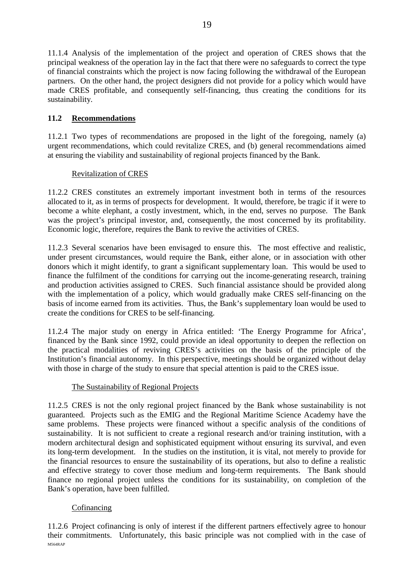11.1.4 Analysis of the implementation of the project and operation of CRES shows that the principal weakness of the operation lay in the fact that there were no safeguards to correct the type of financial constraints which the project is now facing following the withdrawal of the European partners. On the other hand, the project designers did not provide for a policy which would have made CRES profitable, and consequently self-financing, thus creating the conditions for its sustainability.

# **11.2 Recommendations**

11.2.1 Two types of recommendations are proposed in the light of the foregoing, namely (a) urgent recommendations, which could revitalize CRES, and (b) general recommendations aimed at ensuring the viability and sustainability of regional projects financed by the Bank.

# Revitalization of CRES

11.2.2 CRES constitutes an extremely important investment both in terms of the resources allocated to it, as in terms of prospects for development. It would, therefore, be tragic if it were to become a white elephant, a costly investment, which, in the end, serves no purpose. The Bank was the project's principal investor, and, consequently, the most concerned by its profitability. Economic logic, therefore, requires the Bank to revive the activities of CRES.

11.2.3 Several scenarios have been envisaged to ensure this. The most effective and realistic, under present circumstances, would require the Bank, either alone, or in association with other donors which it might identify, to grant a significant supplementary loan. This would be used to finance the fulfilment of the conditions for carrying out the income-generating research, training and production activities assigned to CRES. Such financial assistance should be provided along with the implementation of a policy, which would gradually make CRES self-financing on the basis of income earned from its activities. Thus, the Bank's supplementary loan would be used to create the conditions for CRES to be self-financing.

11.2.4 The major study on energy in Africa entitled: 'The Energy Programme for Africa', financed by the Bank since 1992, could provide an ideal opportunity to deepen the reflection on the practical modalities of reviving CRES's activities on the basis of the principle of the Institution's financial autonomy. In this perspective, meetings should be organized without delay with those in charge of the study to ensure that special attention is paid to the CRES issue.

# The Sustainability of Regional Projects

11.2.5 CRES is not the only regional project financed by the Bank whose sustainability is not guaranteed. Projects such as the EMIG and the Regional Maritime Science Academy have the same problems. These projects were financed without a specific analysis of the conditions of sustainability. It is not sufficient to create a regional research and/or training institution, with a modern architectural design and sophisticated equipment without ensuring its survival, and even its long-term development. In the studies on the institution, it is vital, not merely to provide for the financial resources to ensure the sustainability of its operations, but also to define a realistic and effective strategy to cover those medium and long-term requirements. The Bank should finance no regional project unless the conditions for its sustainability, on completion of the Bank's operation, have been fulfilled.

# Cofinancing

M564RAP 11.2.6 Project cofinancing is only of interest if the different partners effectively agree to honour their commitments. Unfortunately, this basic principle was not complied with in the case of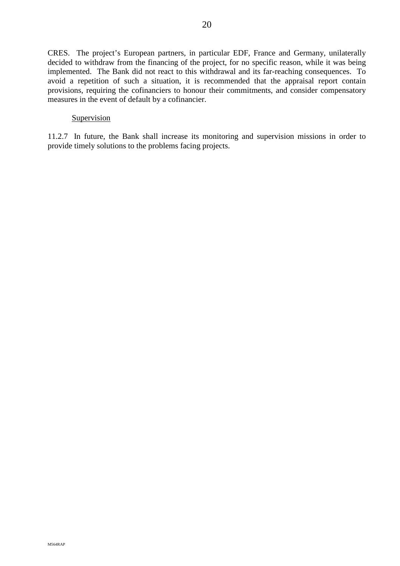CRES. The project's European partners, in particular EDF, France and Germany, unilaterally decided to withdraw from the financing of the project, for no specific reason, while it was being implemented. The Bank did not react to this withdrawal and its far-reaching consequences. To avoid a repetition of such a situation, it is recommended that the appraisal report contain provisions, requiring the cofinanciers to honour their commitments, and consider compensatory measures in the event of default by a cofinancier.

#### Supervision

11.2.7 In future, the Bank shall increase its monitoring and supervision missions in order to provide timely solutions to the problems facing projects.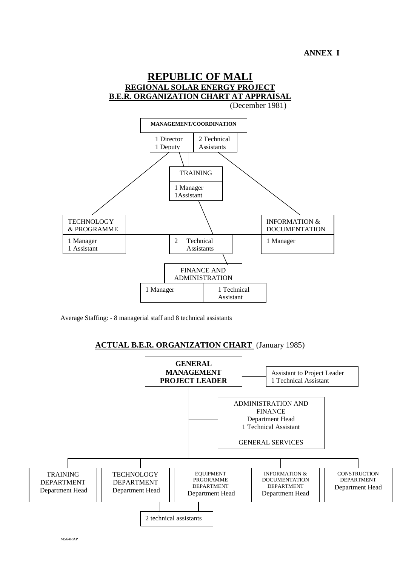

Average Staffing: - 8 managerial staff and 8 technical assistants

# **ACTUAL B.E.R. ORGANIZATION CHART** (January 1985)

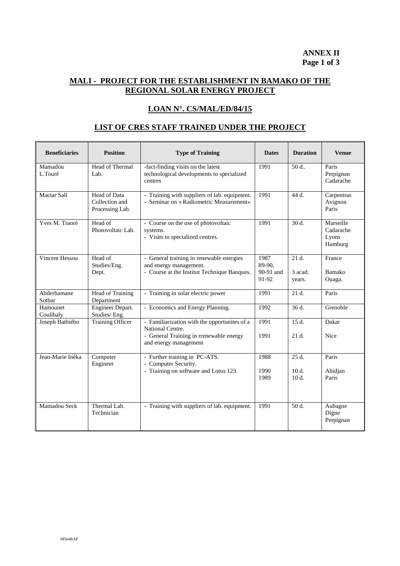# **MALI - PROJECT FOR THE ESTABLISHMENT IN BAMAKO OF THE REGIONAL SOLAR ENERGY PROJECT**

# **LOAN N°. CS/MAL/ED/84/15**

#### **LIST OF CRES STAFF TRAINED UNDER THE PROJECT**

| <b>Beneficiaries</b>  | <b>Position</b>                                   | <b>Type of Training</b>                                                                                                              | <b>Dates</b>                         | <b>Duration</b>               | <b>Venue</b>                               |
|-----------------------|---------------------------------------------------|--------------------------------------------------------------------------------------------------------------------------------------|--------------------------------------|-------------------------------|--------------------------------------------|
| Mamadou<br>L.Touré    | Head of Thermal<br>Lab.                           | -fact-finding visits on the latest<br>technological developments to specialized<br>centres                                           | 1991                                 | 50 d.                         | Paris<br>Perpignan<br>Cadarache            |
| <b>Mactar Sall</b>    | Head of Data<br>Collection and<br>Processing Lab. | - Training with suppliers of lab. equipment.<br>- Seminar on « Radiometric Measurement»                                              | 1991                                 | 44 d.                         | Carpentras<br>Avignon<br>Paris             |
| Yves M. Traoré        | Head of<br>Photovoltaic Lab.                      | - Course on the use of photovoltaic<br>systems.<br>- Visits to specialized centres.                                                  | 1991                                 | 30 d.                         | Marseille<br>Cadarache<br>Lyons<br>Hamburg |
| Vincent Hessou        | Head of<br>Studies/Eng.<br>Dept.                  | - General training in renewable energies<br>and energy management.<br>- Course at the Institut Technique Banques.                    | 1987<br>89-90.<br>90-91 and<br>91-92 | $21d$ .<br>3 acad.<br>years.  | France<br>Bamako<br>Ouaga.                 |
| Abderhamane<br>Sotbar | Head of Training<br>Department                    | - Training in solar electric power                                                                                                   | 1991                                 | $21d$ .                       | Paris                                      |
| Hamounet<br>Coulibaly | Engineer Depart.<br>Studies/Eng.                  | - Economics and Energy Planning.                                                                                                     | 1992                                 | 36d                           | Grenoble                                   |
| Joseph Bathiébo       | <b>Training Officer</b>                           | - Familiarization with the opportunites of a<br>National Centre.<br>- General Training in rrenewable energy<br>and energy management | 1991<br>1991                         | 15 d.<br>$21d$ .              | Dakar<br><b>Nice</b>                       |
| Jean-Marie Inéka      | Computer<br>Engineer                              | - Further training in PC-ATS.<br>- Computer Security.<br>- Training on software and Lotus 123.                                       | 1988<br>1990<br>1989                 | $25d$ .<br>$10d$ .<br>$10d$ . | Paris<br>Abidian<br>Paris                  |
| Mamadou Seck          | Thermal Lab.<br>Technician                        | - Training with suppliers of lab. equipment.                                                                                         | 1991                                 | 50 d.                         | Aubagne<br>Digne<br>Perpignan              |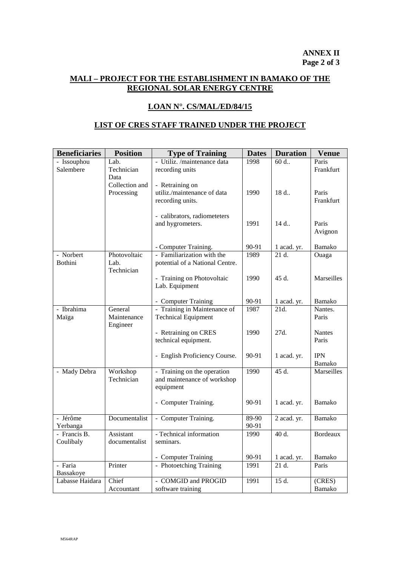# **MALI – PROJECT FOR THE ESTABLISHMENT IN BAMAKO OF THE REGIONAL SOLAR ENERGY CENTRE**

#### **LOAN N°. CS/MAL/ED/84/15**

#### **LIST OF CRES STAFF TRAINED UNDER THE PROJECT**

| - Utiliz. /maintenance data<br>- Issouphou<br>Lab.<br>1998<br>60 d<br>Paris<br>Salembere<br>Technician<br>recording units<br>Frankfurt<br>Data<br>Collection and<br>- Retraining on<br>utiliz./maintenance of data<br>Processing<br>1990<br>18 d<br>Paris<br>Frankfurt<br>recording units.<br>- calibrators, radiometeters<br>and hygrometers.<br>1991<br>$14 d$<br>Paris<br>Avignon<br>Bamako<br>- Computer Training.<br>90-91<br>1 acad. yr.<br>- Familiarization with the<br>- Norbert<br>Photovoltaic<br>1989<br>21 d.<br>Ouaga<br><b>Bothini</b><br>Lab.<br>potential of a National Centre.<br>Technician<br>- Training on Photovoltaic<br>1990<br>45 d.<br>Marseilles<br>Lab. Equipment<br>90-91<br>Bamako<br>- Computer Training<br>1 acad. yr.<br>$\overline{21d}$ .<br>- Training in Maintenance of<br>Nantes.<br>- Ibrahima<br>General<br>1987<br>Maintenance<br><b>Technical Equipment</b><br>Paris<br>Maïga<br>Engineer<br>- Retraining on CRES<br>1990<br>27d.<br><b>Nantes</b><br>technical equipment.<br>Paris<br>- English Proficiency Course.<br><b>IPN</b><br>90-91<br>1 acad. yr.<br>Bamako<br>- Training on the operation<br>1990<br>45 d.<br>Marseilles<br>- Mady Debra<br>Workshop<br>Technician<br>and maintenance of workshop<br>equipment<br>- Computer Training.<br>90-91<br>1 acad. yr.<br>Bamako<br>- Jérôme<br>89-90<br>Documentalist<br>- Computer Training.<br>2 acad. yr.<br>Bamako<br>90-91<br>Yerbanga<br>- Technical information<br>40 d.<br>- Francis B.<br>Assistant<br><b>Bordeaux</b><br>1990<br>Coulibaly<br>documentalist<br>seminars.<br>90-91<br>Bamako<br>- Computer Training<br>1 acad. yr.<br>Printer<br>- Photoetching Training<br>$\overline{21}$ d.<br>- Faria<br>1991<br>Paris<br>Bassakoye<br>Labasse Haidara<br>Chief<br>- COMGID and PROGID<br>15 d.<br>1991<br>(CRES) | <b>Beneficiaries</b> | <b>Position</b> | <b>Type of Training</b> | <b>Dates</b> | <b>Duration</b> | <b>Venue</b> |
|-----------------------------------------------------------------------------------------------------------------------------------------------------------------------------------------------------------------------------------------------------------------------------------------------------------------------------------------------------------------------------------------------------------------------------------------------------------------------------------------------------------------------------------------------------------------------------------------------------------------------------------------------------------------------------------------------------------------------------------------------------------------------------------------------------------------------------------------------------------------------------------------------------------------------------------------------------------------------------------------------------------------------------------------------------------------------------------------------------------------------------------------------------------------------------------------------------------------------------------------------------------------------------------------------------------------------------------------------------------------------------------------------------------------------------------------------------------------------------------------------------------------------------------------------------------------------------------------------------------------------------------------------------------------------------------------------------------------------------------------------------------------------------------------------------------------------------|----------------------|-----------------|-------------------------|--------------|-----------------|--------------|
|                                                                                                                                                                                                                                                                                                                                                                                                                                                                                                                                                                                                                                                                                                                                                                                                                                                                                                                                                                                                                                                                                                                                                                                                                                                                                                                                                                                                                                                                                                                                                                                                                                                                                                                                                                                                                             |                      |                 |                         |              |                 |              |
|                                                                                                                                                                                                                                                                                                                                                                                                                                                                                                                                                                                                                                                                                                                                                                                                                                                                                                                                                                                                                                                                                                                                                                                                                                                                                                                                                                                                                                                                                                                                                                                                                                                                                                                                                                                                                             |                      |                 |                         |              |                 |              |
|                                                                                                                                                                                                                                                                                                                                                                                                                                                                                                                                                                                                                                                                                                                                                                                                                                                                                                                                                                                                                                                                                                                                                                                                                                                                                                                                                                                                                                                                                                                                                                                                                                                                                                                                                                                                                             |                      |                 |                         |              |                 |              |
|                                                                                                                                                                                                                                                                                                                                                                                                                                                                                                                                                                                                                                                                                                                                                                                                                                                                                                                                                                                                                                                                                                                                                                                                                                                                                                                                                                                                                                                                                                                                                                                                                                                                                                                                                                                                                             |                      |                 |                         |              |                 |              |
|                                                                                                                                                                                                                                                                                                                                                                                                                                                                                                                                                                                                                                                                                                                                                                                                                                                                                                                                                                                                                                                                                                                                                                                                                                                                                                                                                                                                                                                                                                                                                                                                                                                                                                                                                                                                                             |                      |                 |                         |              |                 |              |
|                                                                                                                                                                                                                                                                                                                                                                                                                                                                                                                                                                                                                                                                                                                                                                                                                                                                                                                                                                                                                                                                                                                                                                                                                                                                                                                                                                                                                                                                                                                                                                                                                                                                                                                                                                                                                             |                      |                 |                         |              |                 |              |
|                                                                                                                                                                                                                                                                                                                                                                                                                                                                                                                                                                                                                                                                                                                                                                                                                                                                                                                                                                                                                                                                                                                                                                                                                                                                                                                                                                                                                                                                                                                                                                                                                                                                                                                                                                                                                             |                      |                 |                         |              |                 |              |
|                                                                                                                                                                                                                                                                                                                                                                                                                                                                                                                                                                                                                                                                                                                                                                                                                                                                                                                                                                                                                                                                                                                                                                                                                                                                                                                                                                                                                                                                                                                                                                                                                                                                                                                                                                                                                             |                      |                 |                         |              |                 |              |
|                                                                                                                                                                                                                                                                                                                                                                                                                                                                                                                                                                                                                                                                                                                                                                                                                                                                                                                                                                                                                                                                                                                                                                                                                                                                                                                                                                                                                                                                                                                                                                                                                                                                                                                                                                                                                             |                      |                 |                         |              |                 |              |
|                                                                                                                                                                                                                                                                                                                                                                                                                                                                                                                                                                                                                                                                                                                                                                                                                                                                                                                                                                                                                                                                                                                                                                                                                                                                                                                                                                                                                                                                                                                                                                                                                                                                                                                                                                                                                             |                      |                 |                         |              |                 |              |
|                                                                                                                                                                                                                                                                                                                                                                                                                                                                                                                                                                                                                                                                                                                                                                                                                                                                                                                                                                                                                                                                                                                                                                                                                                                                                                                                                                                                                                                                                                                                                                                                                                                                                                                                                                                                                             |                      |                 |                         |              |                 |              |
|                                                                                                                                                                                                                                                                                                                                                                                                                                                                                                                                                                                                                                                                                                                                                                                                                                                                                                                                                                                                                                                                                                                                                                                                                                                                                                                                                                                                                                                                                                                                                                                                                                                                                                                                                                                                                             |                      |                 |                         |              |                 |              |
|                                                                                                                                                                                                                                                                                                                                                                                                                                                                                                                                                                                                                                                                                                                                                                                                                                                                                                                                                                                                                                                                                                                                                                                                                                                                                                                                                                                                                                                                                                                                                                                                                                                                                                                                                                                                                             |                      |                 |                         |              |                 |              |
|                                                                                                                                                                                                                                                                                                                                                                                                                                                                                                                                                                                                                                                                                                                                                                                                                                                                                                                                                                                                                                                                                                                                                                                                                                                                                                                                                                                                                                                                                                                                                                                                                                                                                                                                                                                                                             |                      |                 |                         |              |                 |              |
|                                                                                                                                                                                                                                                                                                                                                                                                                                                                                                                                                                                                                                                                                                                                                                                                                                                                                                                                                                                                                                                                                                                                                                                                                                                                                                                                                                                                                                                                                                                                                                                                                                                                                                                                                                                                                             |                      |                 |                         |              |                 |              |
|                                                                                                                                                                                                                                                                                                                                                                                                                                                                                                                                                                                                                                                                                                                                                                                                                                                                                                                                                                                                                                                                                                                                                                                                                                                                                                                                                                                                                                                                                                                                                                                                                                                                                                                                                                                                                             |                      |                 |                         |              |                 |              |
|                                                                                                                                                                                                                                                                                                                                                                                                                                                                                                                                                                                                                                                                                                                                                                                                                                                                                                                                                                                                                                                                                                                                                                                                                                                                                                                                                                                                                                                                                                                                                                                                                                                                                                                                                                                                                             |                      |                 |                         |              |                 |              |
|                                                                                                                                                                                                                                                                                                                                                                                                                                                                                                                                                                                                                                                                                                                                                                                                                                                                                                                                                                                                                                                                                                                                                                                                                                                                                                                                                                                                                                                                                                                                                                                                                                                                                                                                                                                                                             |                      |                 |                         |              |                 |              |
|                                                                                                                                                                                                                                                                                                                                                                                                                                                                                                                                                                                                                                                                                                                                                                                                                                                                                                                                                                                                                                                                                                                                                                                                                                                                                                                                                                                                                                                                                                                                                                                                                                                                                                                                                                                                                             |                      |                 |                         |              |                 |              |
|                                                                                                                                                                                                                                                                                                                                                                                                                                                                                                                                                                                                                                                                                                                                                                                                                                                                                                                                                                                                                                                                                                                                                                                                                                                                                                                                                                                                                                                                                                                                                                                                                                                                                                                                                                                                                             |                      |                 |                         |              |                 |              |
|                                                                                                                                                                                                                                                                                                                                                                                                                                                                                                                                                                                                                                                                                                                                                                                                                                                                                                                                                                                                                                                                                                                                                                                                                                                                                                                                                                                                                                                                                                                                                                                                                                                                                                                                                                                                                             |                      |                 |                         |              |                 |              |
|                                                                                                                                                                                                                                                                                                                                                                                                                                                                                                                                                                                                                                                                                                                                                                                                                                                                                                                                                                                                                                                                                                                                                                                                                                                                                                                                                                                                                                                                                                                                                                                                                                                                                                                                                                                                                             |                      |                 |                         |              |                 |              |
|                                                                                                                                                                                                                                                                                                                                                                                                                                                                                                                                                                                                                                                                                                                                                                                                                                                                                                                                                                                                                                                                                                                                                                                                                                                                                                                                                                                                                                                                                                                                                                                                                                                                                                                                                                                                                             |                      |                 |                         |              |                 |              |
|                                                                                                                                                                                                                                                                                                                                                                                                                                                                                                                                                                                                                                                                                                                                                                                                                                                                                                                                                                                                                                                                                                                                                                                                                                                                                                                                                                                                                                                                                                                                                                                                                                                                                                                                                                                                                             |                      |                 |                         |              |                 |              |
|                                                                                                                                                                                                                                                                                                                                                                                                                                                                                                                                                                                                                                                                                                                                                                                                                                                                                                                                                                                                                                                                                                                                                                                                                                                                                                                                                                                                                                                                                                                                                                                                                                                                                                                                                                                                                             |                      |                 |                         |              |                 |              |
|                                                                                                                                                                                                                                                                                                                                                                                                                                                                                                                                                                                                                                                                                                                                                                                                                                                                                                                                                                                                                                                                                                                                                                                                                                                                                                                                                                                                                                                                                                                                                                                                                                                                                                                                                                                                                             |                      |                 |                         |              |                 |              |
|                                                                                                                                                                                                                                                                                                                                                                                                                                                                                                                                                                                                                                                                                                                                                                                                                                                                                                                                                                                                                                                                                                                                                                                                                                                                                                                                                                                                                                                                                                                                                                                                                                                                                                                                                                                                                             |                      |                 |                         |              |                 |              |
|                                                                                                                                                                                                                                                                                                                                                                                                                                                                                                                                                                                                                                                                                                                                                                                                                                                                                                                                                                                                                                                                                                                                                                                                                                                                                                                                                                                                                                                                                                                                                                                                                                                                                                                                                                                                                             |                      |                 |                         |              |                 |              |
|                                                                                                                                                                                                                                                                                                                                                                                                                                                                                                                                                                                                                                                                                                                                                                                                                                                                                                                                                                                                                                                                                                                                                                                                                                                                                                                                                                                                                                                                                                                                                                                                                                                                                                                                                                                                                             |                      |                 |                         |              |                 |              |
|                                                                                                                                                                                                                                                                                                                                                                                                                                                                                                                                                                                                                                                                                                                                                                                                                                                                                                                                                                                                                                                                                                                                                                                                                                                                                                                                                                                                                                                                                                                                                                                                                                                                                                                                                                                                                             |                      |                 |                         |              |                 |              |
|                                                                                                                                                                                                                                                                                                                                                                                                                                                                                                                                                                                                                                                                                                                                                                                                                                                                                                                                                                                                                                                                                                                                                                                                                                                                                                                                                                                                                                                                                                                                                                                                                                                                                                                                                                                                                             |                      |                 |                         |              |                 |              |
|                                                                                                                                                                                                                                                                                                                                                                                                                                                                                                                                                                                                                                                                                                                                                                                                                                                                                                                                                                                                                                                                                                                                                                                                                                                                                                                                                                                                                                                                                                                                                                                                                                                                                                                                                                                                                             |                      |                 |                         |              |                 |              |
|                                                                                                                                                                                                                                                                                                                                                                                                                                                                                                                                                                                                                                                                                                                                                                                                                                                                                                                                                                                                                                                                                                                                                                                                                                                                                                                                                                                                                                                                                                                                                                                                                                                                                                                                                                                                                             |                      |                 |                         |              |                 |              |
|                                                                                                                                                                                                                                                                                                                                                                                                                                                                                                                                                                                                                                                                                                                                                                                                                                                                                                                                                                                                                                                                                                                                                                                                                                                                                                                                                                                                                                                                                                                                                                                                                                                                                                                                                                                                                             |                      |                 |                         |              |                 |              |
|                                                                                                                                                                                                                                                                                                                                                                                                                                                                                                                                                                                                                                                                                                                                                                                                                                                                                                                                                                                                                                                                                                                                                                                                                                                                                                                                                                                                                                                                                                                                                                                                                                                                                                                                                                                                                             |                      |                 |                         |              |                 |              |
|                                                                                                                                                                                                                                                                                                                                                                                                                                                                                                                                                                                                                                                                                                                                                                                                                                                                                                                                                                                                                                                                                                                                                                                                                                                                                                                                                                                                                                                                                                                                                                                                                                                                                                                                                                                                                             |                      |                 |                         |              |                 |              |
|                                                                                                                                                                                                                                                                                                                                                                                                                                                                                                                                                                                                                                                                                                                                                                                                                                                                                                                                                                                                                                                                                                                                                                                                                                                                                                                                                                                                                                                                                                                                                                                                                                                                                                                                                                                                                             |                      |                 |                         |              |                 |              |
|                                                                                                                                                                                                                                                                                                                                                                                                                                                                                                                                                                                                                                                                                                                                                                                                                                                                                                                                                                                                                                                                                                                                                                                                                                                                                                                                                                                                                                                                                                                                                                                                                                                                                                                                                                                                                             |                      | Accountant      | software training       |              |                 | Bamako       |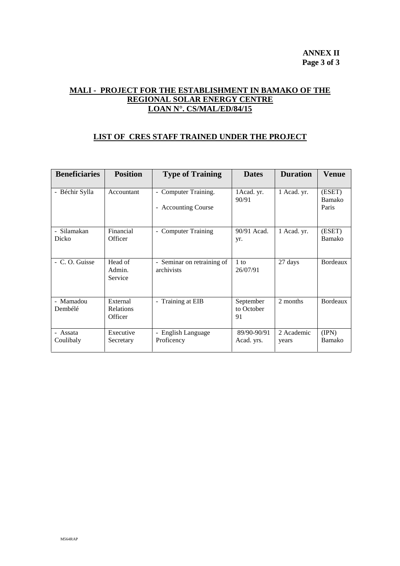# **MALI - PROJECT FOR THE ESTABLISHMENT IN BAMAKO OF THE REGIONAL SOLAR ENERGY CENTRE LOAN N°. CS/MAL/ED/84/15**

## **LIST OF CRES STAFF TRAINED UNDER THE PROJECT**

| <b>Beneficiaries</b>  | <b>Position</b>                  | <b>Type of Training</b>                     | <b>Dates</b>                  | <b>Duration</b>     | Venue                     |
|-----------------------|----------------------------------|---------------------------------------------|-------------------------------|---------------------|---------------------------|
| - Béchir Sylla        | Accountant                       | - Computer Training.<br>- Accounting Course | 1 Acad. yr.<br>90/91          | 1 Acad. yr.         | (ESET)<br>Bamako<br>Paris |
| - Silamakan<br>Dicko  | Financial<br>Officer             | <b>Computer Training</b><br>$\blacksquare$  | 90/91 Acad.<br>yr.            | 1 Acad. yr.         | (ESET)<br>Bamako          |
| - C.O. Guisse         | Head of<br>Admin.<br>Service     | - Seminar on retraining of<br>archivists    | 1 to<br>26/07/91              | 27 days             | Bordeaux                  |
| - Mamadou<br>Dembélé  | External<br>Relations<br>Officer | - Training at EIB                           | September<br>to October<br>91 | 2 months            | <b>Bordeaux</b>           |
| - Assata<br>Coulibaly | Executive<br>Secretary           | - English Language<br>Proficency            | 89/90-90/91<br>Acad. yrs.     | 2 Academic<br>years | (IPN)<br>Bamako           |